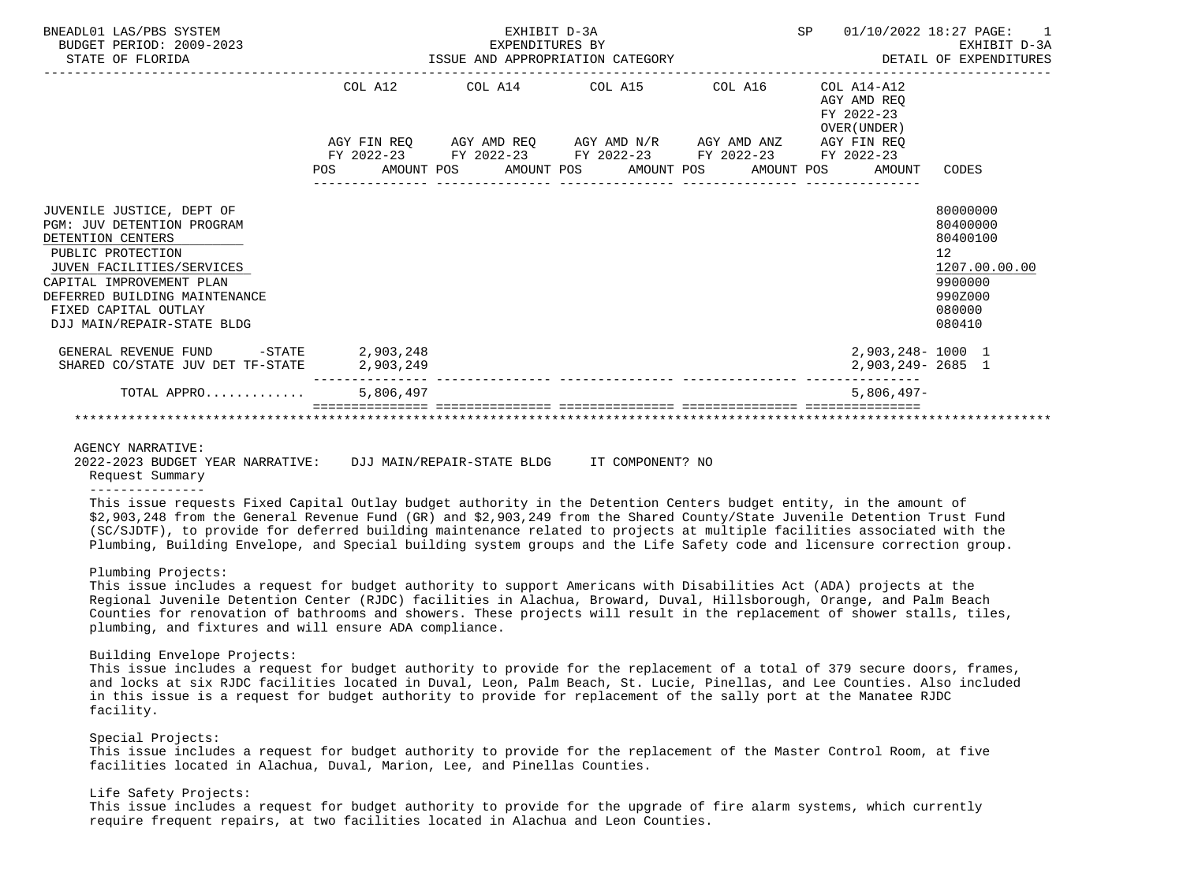| BNEADL01 LAS/PBS SYSTEM<br>BUDGET PERIOD: 2009-2023<br>STATE OF FLORIDA                                                                                                                                                                                  |                               | EXHIBIT D-3A<br>EXPENDITURES BY<br>ISSUE AND APPROPRIATION CATEGORY | SP<br>01/10/2022 18:27 PAGE:                                                                                                  | EXHIBIT D-3A<br>DETAIL OF EXPENDITURES |                                                             |                                                                                                   |
|----------------------------------------------------------------------------------------------------------------------------------------------------------------------------------------------------------------------------------------------------------|-------------------------------|---------------------------------------------------------------------|-------------------------------------------------------------------------------------------------------------------------------|----------------------------------------|-------------------------------------------------------------|---------------------------------------------------------------------------------------------------|
|                                                                                                                                                                                                                                                          |                               |                                                                     | COL A12 COL A14 COL A15 COL A16                                                                                               |                                        | $COL A14- A12$<br>AGY AMD REO<br>FY 2022-23<br>OVER (UNDER) |                                                                                                   |
|                                                                                                                                                                                                                                                          |                               |                                                                     | $AGY \text{ FIN REQ} \qquad \text{AGY AMD REQ} \qquad \text{AGY AMD N/R} \qquad \text{AGY AMD ANZ} \qquad \text{AGY FIN REQ}$ |                                        |                                                             |                                                                                                   |
|                                                                                                                                                                                                                                                          | POS                           |                                                                     | FY 2022-23 FY 2022-23 FY 2022-23 FY 2022-23 FY 2022-23                                                                        |                                        | AMOUNT POS AMOUNT POS AMOUNT POS AMOUNT POS AMOUNT CODES    |                                                                                                   |
| JUVENILE JUSTICE, DEPT OF<br><b>PGM: JUV DETENTION PROGRAM</b><br>DETENTION CENTERS<br>PUBLIC PROTECTION<br>JUVEN FACILITIES/SERVICES<br>CAPITAL IMPROVEMENT PLAN<br>DEFERRED BUILDING MAINTENANCE<br>FIXED CAPITAL OUTLAY<br>DJJ MAIN/REPAIR-STATE BLDG |                               |                                                                     |                                                                                                                               |                                        |                                                             | 80000000<br>80400000<br>80400100<br>12<br>1207.00.00.00<br>9900000<br>990Z000<br>080000<br>080410 |
| GENERAL REVENUE FUND<br>SHARED CO/STATE JUV DET TF-STATE                                                                                                                                                                                                 | -STATE 2,903,248<br>2,903,249 |                                                                     |                                                                                                                               |                                        | 2,903,248-1000 1<br>2,903,249-2685 1                        |                                                                                                   |
| TOTAL APPRO                                                                                                                                                                                                                                              | 5,806,497                     |                                                                     |                                                                                                                               |                                        | $5.806.497 -$                                               |                                                                                                   |
|                                                                                                                                                                                                                                                          |                               |                                                                     |                                                                                                                               |                                        |                                                             |                                                                                                   |

AGENCY NARRATIVE:<br>2022-2023 BUDGET YEAR NARRATIVE: 2022-2023 BUDGET YEAR NARRATIVE: DJJ MAIN/REPAIR-STATE BLDG IT COMPONENT? NO

 Request Summary ---------------

 This issue requests Fixed Capital Outlay budget authority in the Detention Centers budget entity, in the amount of \$2,903,248 from the General Revenue Fund (GR) and \$2,903,249 from the Shared County/State Juvenile Detention Trust Fund (SC/SJDTF), to provide for deferred building maintenance related to projects at multiple facilities associated with the Plumbing, Building Envelope, and Special building system groups and the Life Safety code and licensure correction group.

# Plumbing Projects:

 This issue includes a request for budget authority to support Americans with Disabilities Act (ADA) projects at the Regional Juvenile Detention Center (RJDC) facilities in Alachua, Broward, Duval, Hillsborough, Orange, and Palm Beach Counties for renovation of bathrooms and showers. These projects will result in the replacement of shower stalls, tiles, plumbing, and fixtures and will ensure ADA compliance.

# Building Envelope Projects:

 This issue includes a request for budget authority to provide for the replacement of a total of 379 secure doors, frames, and locks at six RJDC facilities located in Duval, Leon, Palm Beach, St. Lucie, Pinellas, and Lee Counties. Also included in this issue is a request for budget authority to provide for replacement of the sally port at the Manatee RJDC facility.

# Special Projects:

 This issue includes a request for budget authority to provide for the replacement of the Master Control Room, at five facilities located in Alachua, Duval, Marion, Lee, and Pinellas Counties.

# Life Safety Projects:

 This issue includes a request for budget authority to provide for the upgrade of fire alarm systems, which currently require frequent repairs, at two facilities located in Alachua and Leon Counties.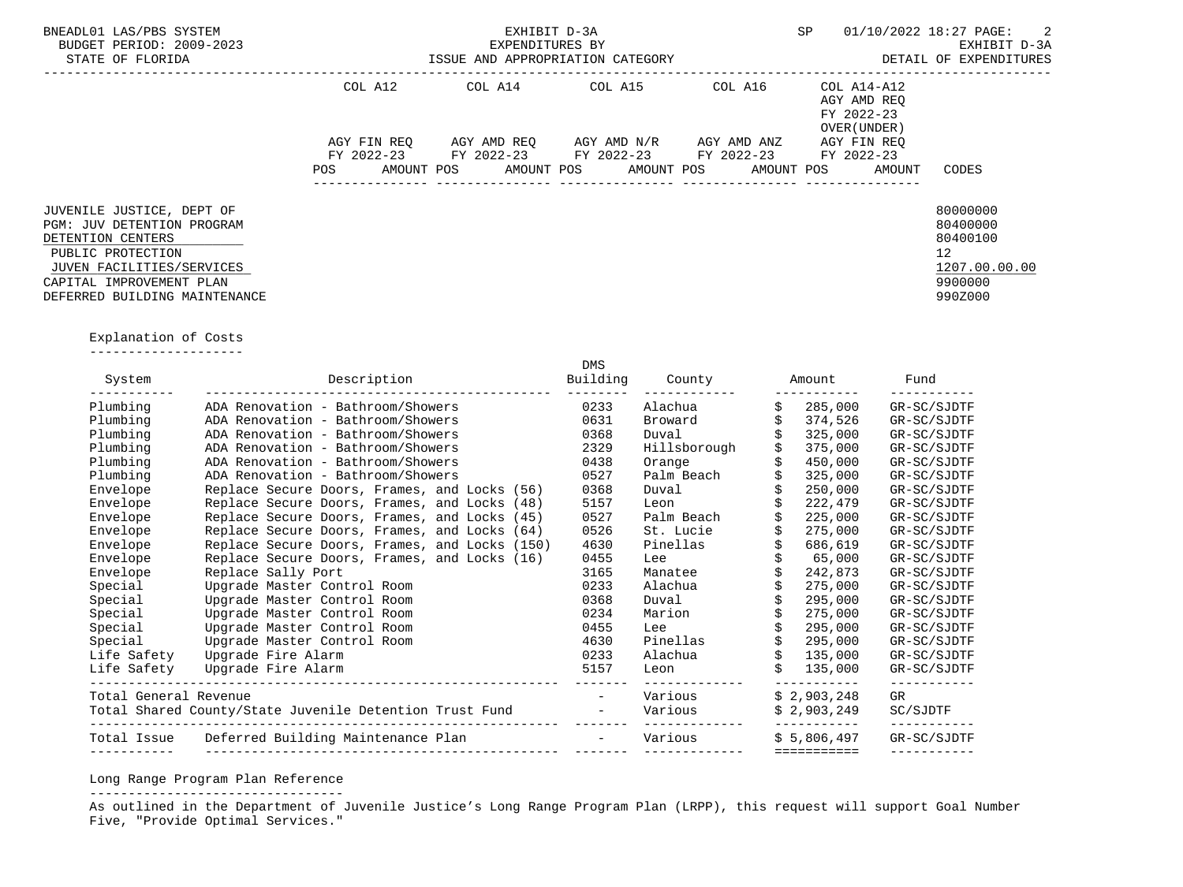| BNEADL01 LAS/PBS SYSTEM<br>BUDGET PERIOD: 2009-2023<br>STATE OF FLORIDA                                                                                                                            |         | EXHIBIT D-3A<br>EXPENDITURES BY | ISSUE AND APPROPRIATION CATEGORY                                                                                                              |         | SP                                                                                              | 01/10/2022 18:27 PAGE: 2<br>EXHIBIT D-3A<br>DETAIL OF EXPENDITURES                         |
|----------------------------------------------------------------------------------------------------------------------------------------------------------------------------------------------------|---------|---------------------------------|-----------------------------------------------------------------------------------------------------------------------------------------------|---------|-------------------------------------------------------------------------------------------------|--------------------------------------------------------------------------------------------|
|                                                                                                                                                                                                    | COL A12 |                                 | COL A14 COL A15                                                                                                                               | COL A16 | -----------------------------------<br>COL A14-A12<br>AGY AMD REO<br>FY 2022-23<br>OVER (UNDER) |                                                                                            |
|                                                                                                                                                                                                    | POS     |                                 | AGY FIN REO AGY AMD REO AGY AMD N/R AGY AMD ANZ<br>FY 2022-23 FY 2022-23 FY 2022-23 FY 2022-23<br>AMOUNT POS AMOUNT POS AMOUNT POS AMOUNT POS |         | AGY FIN REO<br>FY 2022-23<br>AMOUNT                                                             | CODES                                                                                      |
| JUVENILE JUSTICE, DEPT OF<br><b>PGM: JUV DETENTION PROGRAM</b><br>DETENTION CENTERS<br>PUBLIC PROTECTION<br>JUVEN FACILITIES/SERVICES<br>CAPITAL IMPROVEMENT PLAN<br>DEFERRED BUILDING MAINTENANCE |         |                                 |                                                                                                                                               |         |                                                                                                 | 80000000<br>80400000<br>80400100<br>12 <sup>°</sup><br>1207.00.00.00<br>9900000<br>990Z000 |

Explanation of Costs

--------------------

| System                | Description                                             | <b>DMS</b><br>Building | County       | Amount      | Fund        |
|-----------------------|---------------------------------------------------------|------------------------|--------------|-------------|-------------|
| Plumbing              | ADA Renovation - Bathroom/Showers                       | 0233                   | Alachua      | 285,000     | GR-SC/SJDTF |
| Plumbing              | ADA Renovation - Bathroom/Showers                       | 0631                   | Broward      | 374,526     | GR-SC/SJDTF |
| Plumbing              | ADA Renovation - Bathroom/Showers                       | 0368                   | Duval        | 325,000     | GR-SC/SJDTF |
| Plumbing              | ADA Renovation - Bathroom/Showers                       | 2329                   | Hillsborough | 375,000     | GR-SC/SJDTF |
| Plumbing              | ADA Renovation - Bathroom/Showers                       | 0438                   | Orange       | 450,000     | GR-SC/SJDTF |
| Plumbing              | ADA Renovation - Bathroom/Showers                       | 0527                   | Palm Beach   | 325,000     | GR-SC/SJDTF |
| Envelope              | Replace Secure Doors, Frames, and Locks (56)            | 0368                   | Duval        | 250,000     | GR-SC/SJDTF |
| Envelope              | Replace Secure Doors, Frames, and Locks (48)            | 5157                   | Leon         | 222,479     | GR-SC/SJDTF |
| Envelope              | Replace Secure Doors, Frames, and Locks (45)            | 0527                   | Palm Beach   | 225,000     | GR-SC/SJDTF |
| Envelope              | Replace Secure Doors, Frames, and Locks (64)            | 0526                   | St. Lucie    | 275,000     | GR-SC/SJDTF |
| Envelope              | Replace Secure Doors, Frames, and Locks (150)           | 4630                   | Pinellas     | 686,619     | GR-SC/SJDTF |
| Envelope              | Replace Secure Doors, Frames, and Locks (16)            | 0455                   | Lee          | 65,000      | GR-SC/SJDTF |
| Envelope              | Replace Sally Port                                      | 3165                   | Manatee      | 242,873     | GR-SC/SJDTF |
| Special               | Upgrade Master Control Room                             | 0233                   | Alachua      | 275,000     | GR-SC/SJDTF |
| Special               | Upgrade Master Control Room                             | 0368                   | Duval        | 295,000     | GR-SC/SJDTF |
| Special               | Upgrade Master Control Room                             | 0234                   | Marion       | 275,000     | GR-SC/SJDTF |
| Special               | Upgrade Master Control Room                             | 0455                   | Lee          | 295,000     | GR-SC/SJDTF |
| Special               | Upgrade Master Control Room                             | 4630                   | Pinellas     | 295,000     | GR-SC/SJDTF |
| Life Safety           | Upgrade Fire Alarm                                      | 0233                   | Alachua      | 135,000     | GR-SC/SJDTF |
| Life Safety           | Upgrade Fire Alarm                                      | 5157                   | Leon         | 135,000     | GR-SC/SJDTF |
| Total General Revenue |                                                         |                        | Various      | \$2,903,248 | GR          |
|                       | Total Shared County/State Juvenile Detention Trust Fund | $\sim$                 | Various      | \$2,903,249 | SC/SJDTF    |
| Total Issue           | Deferred Building Maintenance Plan                      | $\sim$                 | Various      | \$5,806,497 | GR-SC/SJDTF |
|                       |                                                         |                        |              |             |             |

Long Range Program Plan Reference

---------------------------------

 As outlined in the Department of Juvenile Justice's Long Range Program Plan (LRPP), this request will support Goal Number Five, "Provide Optimal Services."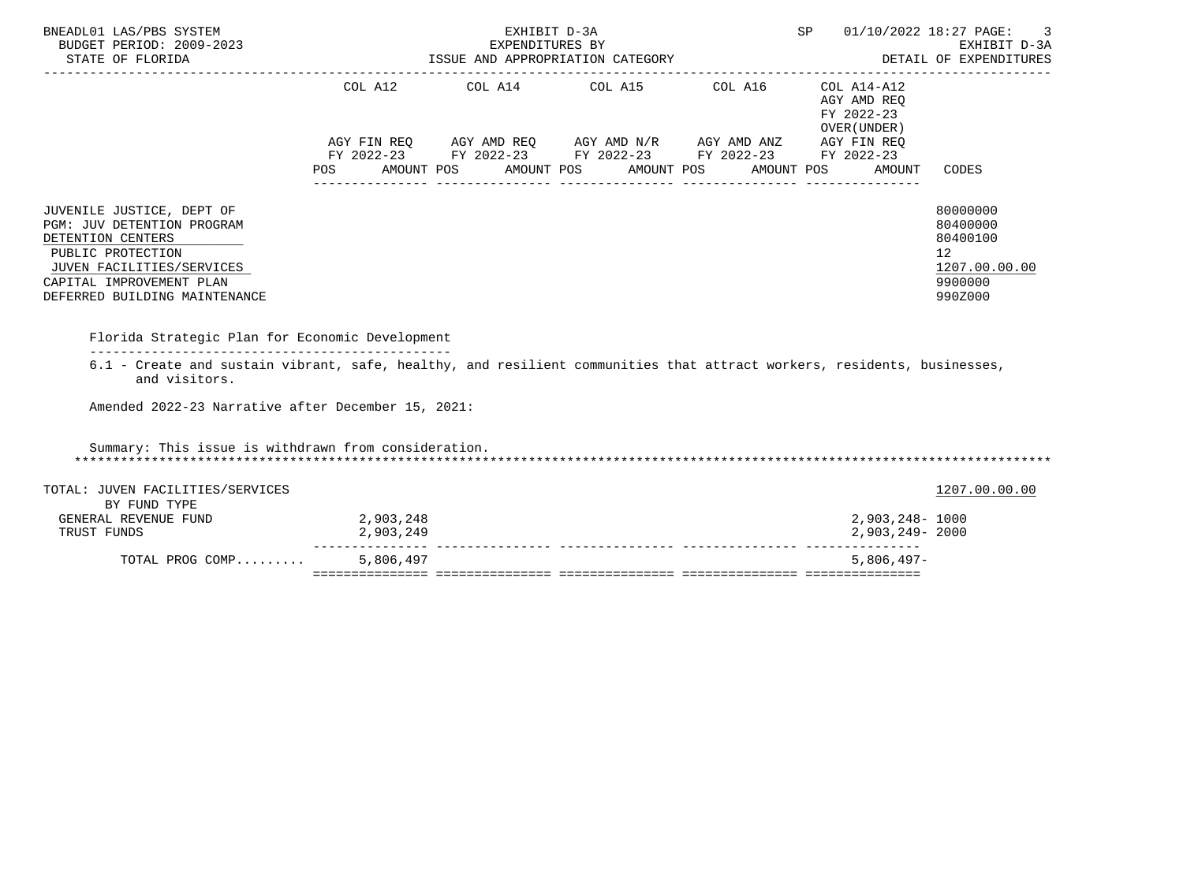| BNEADL01 LAS/PBS SYSTEM<br>BUDGET PERIOD: 2009-2023<br>STATE OF FLORIDA                                                                                                                                                                        |                                                 | EXHIBIT D-3A<br>EXPENDITURES BY |                                                                                                                                                              | SP 01/10/2022 18:27 PAGE:<br>EXHIBIT D-3A EXHIBIT D-3A EXHIBIT D-3A EXHIBIT D-3A EXHIBIT D-3A EXPENDITURES | 3                                                                             |
|------------------------------------------------------------------------------------------------------------------------------------------------------------------------------------------------------------------------------------------------|-------------------------------------------------|---------------------------------|--------------------------------------------------------------------------------------------------------------------------------------------------------------|------------------------------------------------------------------------------------------------------------|-------------------------------------------------------------------------------|
|                                                                                                                                                                                                                                                | COL A12<br>POS AMOUNT POS AMOUNT POS AMOUNT POS |                                 | COL A14 COL A15 COL A16 COL A14-A12<br>AGY FIN REQ AGY AMD REQ AGY AMD N/R AGY AMD ANZ AGY FIN REQ<br>FY 2022-23 FY 2022-23 FY 2022-23 FY 2022-23 FY 2022-23 | AGY AMD REO<br>FY 2022-23<br>OVER (UNDER)<br>AMOUNT POS<br>AMOUNT                                          | CODES                                                                         |
| JUVENILE JUSTICE, DEPT OF<br>PGM: JUV DETENTION PROGRAM<br>DETENTION CENTERS<br>PUBLIC PROTECTION<br>JUVEN FACILITIES/SERVICES<br>CAPITAL IMPROVEMENT PLAN<br>DEFERRED BUILDING MAINTENANCE<br>Florida Strategic Plan for Economic Development |                                                 |                                 |                                                                                                                                                              |                                                                                                            | 80000000<br>80400000<br>80400100<br>12<br>1207.00.00.00<br>9900000<br>990Z000 |
| 6.1 - Create and sustain vibrant, safe, healthy, and resilient communities that attract workers, residents, businesses,<br>and visitors.<br>Amended 2022-23 Narrative after December 15, 2021:                                                 |                                                 |                                 |                                                                                                                                                              |                                                                                                            |                                                                               |
| Summary: This issue is withdrawn from consideration.                                                                                                                                                                                           |                                                 |                                 |                                                                                                                                                              |                                                                                                            |                                                                               |
| TOTAL: JUVEN FACILITIES/SERVICES<br>BY FUND TYPE                                                                                                                                                                                               |                                                 |                                 |                                                                                                                                                              |                                                                                                            | 1207.00.00.00                                                                 |
| GENERAL REVENUE FUND<br>TRUST FUNDS                                                                                                                                                                                                            | 2,903,248<br>2,903,249                          |                                 |                                                                                                                                                              | 2,903,248- 1000<br>2,903,249-2000                                                                          |                                                                               |
| TOTAL PROG COMP                                                                                                                                                                                                                                | 5,806,497                                       |                                 |                                                                                                                                                              | $5,806,497-$                                                                                               |                                                                               |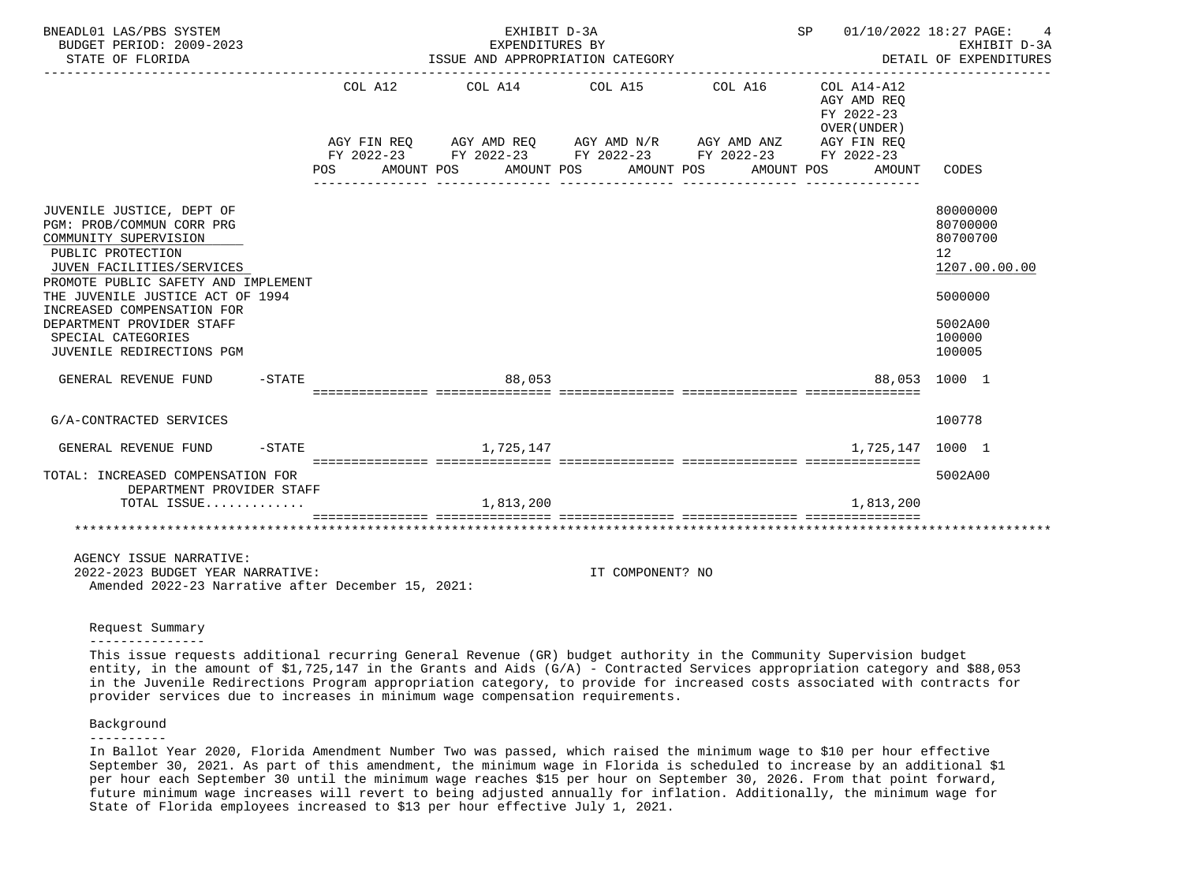| BNEADL01 LAS/PBS SYSTEM<br>BUDGET PERIOD: 2009-2023<br>STATE OF FLORIDA                                                                                                                                                                                                                                                                            |           |     |            | EXHIBIT D-3A<br>EXPENDITURES BY<br>ISSUE AND APPROPRIATION CATEGORY                                                   |                  |                     | SP 01/10/2022 18:27 PAGE:                 | EXHIBIT D-3A<br>DETAIL OF EXPENDITURES                                                                             |
|----------------------------------------------------------------------------------------------------------------------------------------------------------------------------------------------------------------------------------------------------------------------------------------------------------------------------------------------------|-----------|-----|------------|-----------------------------------------------------------------------------------------------------------------------|------------------|---------------------|-------------------------------------------|--------------------------------------------------------------------------------------------------------------------|
|                                                                                                                                                                                                                                                                                                                                                    |           |     |            | COL A12 COL A14 COL A15                                                                                               |                  | COL A16 COL A14-A12 | AGY AMD REO<br>FY 2022-23<br>OVER (UNDER) |                                                                                                                    |
|                                                                                                                                                                                                                                                                                                                                                    |           |     |            | AGY FIN REQ AGY AMD REQ AGY AMD N/R AGY AMD ANZ AGY FIN REQ<br>FY 2022-23 FY 2022-23 FY 2022-23 FY 2022-23 FY 2022-23 |                  |                     |                                           |                                                                                                                    |
|                                                                                                                                                                                                                                                                                                                                                    |           | POS | AMOUNT POS | AMOUNT POS                                                                                                            | AMOUNT POS       | AMOUNT POS          | AMOUNT                                    | CODES                                                                                                              |
| JUVENILE JUSTICE, DEPT OF<br>PGM: PROB/COMMUN CORR PRG<br>COMMUNITY SUPERVISION<br>PUBLIC PROTECTION<br>JUVEN FACILITIES/SERVICES<br>PROMOTE PUBLIC SAFETY AND IMPLEMENT<br>THE JUVENILE JUSTICE ACT OF 1994<br>INCREASED COMPENSATION FOR<br>DEPARTMENT PROVIDER STAFF<br>SPECIAL CATEGORIES<br>JUVENILE REDIRECTIONS PGM<br>GENERAL REVENUE FUND | $-$ STATE |     |            | 88,053                                                                                                                |                  |                     |                                           | 80000000<br>80700000<br>80700700<br>12<br>1207.00.00.00<br>5000000<br>5002A00<br>100000<br>100005<br>88,053 1000 1 |
|                                                                                                                                                                                                                                                                                                                                                    |           |     |            |                                                                                                                       |                  |                     |                                           |                                                                                                                    |
| G/A-CONTRACTED SERVICES                                                                                                                                                                                                                                                                                                                            |           |     |            |                                                                                                                       |                  |                     |                                           | 100778                                                                                                             |
| GENERAL REVENUE FUND                                                                                                                                                                                                                                                                                                                               | $-$ STATE |     |            | 1,725,147                                                                                                             |                  |                     | 1,725,147                                 | 1000 1                                                                                                             |
| TOTAL: INCREASED COMPENSATION FOR<br>DEPARTMENT PROVIDER STAFF                                                                                                                                                                                                                                                                                     |           |     |            |                                                                                                                       |                  |                     |                                           | 5002A00                                                                                                            |
| TOTAL ISSUE                                                                                                                                                                                                                                                                                                                                        |           |     |            | 1,813,200                                                                                                             |                  |                     | 1,813,200                                 |                                                                                                                    |
|                                                                                                                                                                                                                                                                                                                                                    |           |     |            |                                                                                                                       |                  |                     |                                           |                                                                                                                    |
| AGENCY ISSUE NARRATIVE:<br>2022-2023 BUDGET YEAR NARRATIVE:<br>Amended 2022-23 Narrative after December 15, 2021:                                                                                                                                                                                                                                  |           |     |            |                                                                                                                       | IT COMPONENT? NO |                     |                                           |                                                                                                                    |

Request Summary

---------------

 This issue requests additional recurring General Revenue (GR) budget authority in the Community Supervision budget entity, in the amount of \$1,725,147 in the Grants and Aids (G/A) - Contracted Services appropriation category and \$88,053 in the Juvenile Redirections Program appropriation category, to provide for increased costs associated with contracts for provider services due to increases in minimum wage compensation requirements.

# Background

----------

 In Ballot Year 2020, Florida Amendment Number Two was passed, which raised the minimum wage to \$10 per hour effective September 30, 2021. As part of this amendment, the minimum wage in Florida is scheduled to increase by an additional \$1 per hour each September 30 until the minimum wage reaches \$15 per hour on September 30, 2026. From that point forward, future minimum wage increases will revert to being adjusted annually for inflation. Additionally, the minimum wage for State of Florida employees increased to \$13 per hour effective July 1, 2021.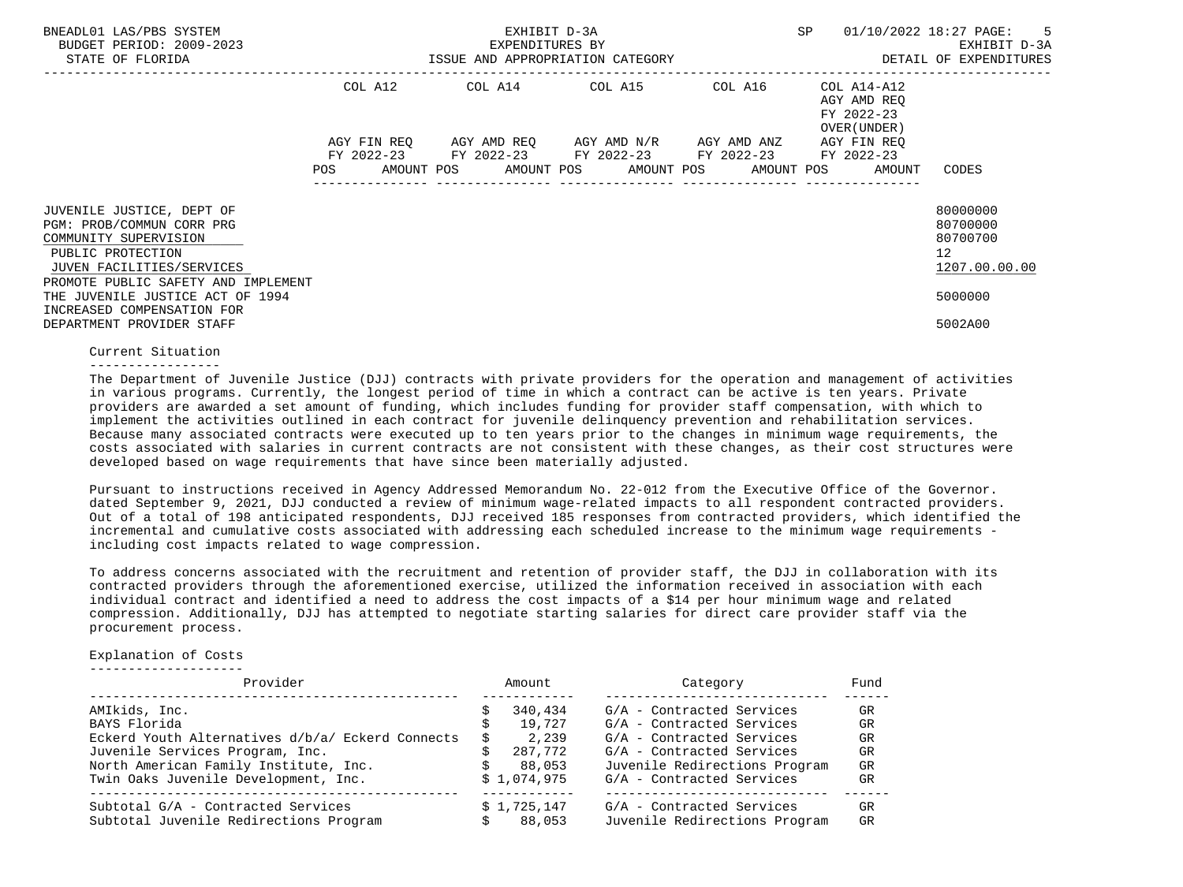| BNEADL01 LAS/PBS SYSTEM<br>BUDGET PERIOD: 2009-2023<br>STATE OF FLORIDA                                                                                                  |             | EXHIBIT D-3A<br>EXPENDITURES BY<br>ISSUE AND APPROPRIATION CATEGORY | SP                                                                                            | $01/10/2022$ 18:27 PAGE: 5<br>EXHIBIT D-3A<br>DETAIL OF EXPENDITURES |                                           |                                                                      |
|--------------------------------------------------------------------------------------------------------------------------------------------------------------------------|-------------|---------------------------------------------------------------------|-----------------------------------------------------------------------------------------------|----------------------------------------------------------------------|-------------------------------------------|----------------------------------------------------------------------|
|                                                                                                                                                                          | COL A12     |                                                                     |                                                                                               |                                                                      | AGY AMD REO<br>FY 2022-23<br>OVER (UNDER) |                                                                      |
|                                                                                                                                                                          | AGY FIN REO |                                                                     | AGY AMD REO AGY AMD N/R AGY AMD ANZ<br>FY 2022-23 FY 2022-23 FY 2022-23 FY 2022-23 FY 2022-23 |                                                                      | AGY FIN REO                               |                                                                      |
|                                                                                                                                                                          |             |                                                                     | POS AMOUNT POS AMOUNT POS AMOUNT POS AMOUNT POS AMOUNT CODES                                  |                                                                      |                                           |                                                                      |
| JUVENILE JUSTICE, DEPT OF<br>PGM: PROB/COMMUN CORR PRG<br>COMMUNITY SUPERVISION<br>PUBLIC PROTECTION<br>JUVEN FACILITIES/SERVICES<br>PROMOTE PUBLIC SAFETY AND IMPLEMENT |             |                                                                     |                                                                                               |                                                                      |                                           | 80000000<br>80700000<br>80700700<br>12 <sup>°</sup><br>1207.00.00.00 |
| THE JUVENILE JUSTICE ACT OF 1994                                                                                                                                         |             |                                                                     |                                                                                               |                                                                      |                                           | 5000000                                                              |
| INCREASED COMPENSATION FOR<br>DEPARTMENT PROVIDER STAFF                                                                                                                  |             |                                                                     |                                                                                               |                                                                      |                                           | 5002A00                                                              |

#### Current Situation

-----------------

 The Department of Juvenile Justice (DJJ) contracts with private providers for the operation and management of activities in various programs. Currently, the longest period of time in which a contract can be active is ten years. Private providers are awarded a set amount of funding, which includes funding for provider staff compensation, with which to implement the activities outlined in each contract for juvenile delinquency prevention and rehabilitation services. Because many associated contracts were executed up to ten years prior to the changes in minimum wage requirements, the costs associated with salaries in current contracts are not consistent with these changes, as their cost structures were developed based on wage requirements that have since been materially adjusted.

 Pursuant to instructions received in Agency Addressed Memorandum No. 22-012 from the Executive Office of the Governor. dated September 9, 2021, DJJ conducted a review of minimum wage-related impacts to all respondent contracted providers. Out of a total of 198 anticipated respondents, DJJ received 185 responses from contracted providers, which identified the incremental and cumulative costs associated with addressing each scheduled increase to the minimum wage requirements including cost impacts related to wage compression.

 To address concerns associated with the recruitment and retention of provider staff, the DJJ in collaboration with its contracted providers through the aforementioned exercise, utilized the information received in association with each individual contract and identified a need to address the cost impacts of a \$14 per hour minimum wage and related compression. Additionally, DJJ has attempted to negotiate starting salaries for direct care provider staff via the procurement process.

# Explanation of Costs

--------------------

| Provider                                         | Amount      | Category                      | Fund |
|--------------------------------------------------|-------------|-------------------------------|------|
| AMIkids, Inc.                                    | 340,434     | G/A - Contracted Services     | GR   |
| BAYS Florida                                     | 19,727      | G/A - Contracted Services     | GR   |
| Eckerd Youth Alternatives d/b/a/ Eckerd Connects | 2,239       | G/A - Contracted Services     | GR   |
| Juvenile Services Program, Inc.                  | 287,772     | G/A - Contracted Services     | GR   |
| North American Family Institute, Inc.            | 88,053      | Juvenile Redirections Program | GR   |
| Twin Oaks Juvenile Development, Inc.             | \$1,074,975 | G/A - Contracted Services     | GR   |
| Subtotal G/A - Contracted Services               | \$1,725,147 | G/A - Contracted Services     | GR   |
| Subtotal Juvenile Redirections Program           | 88,053      | Juvenile Redirections Program | GR   |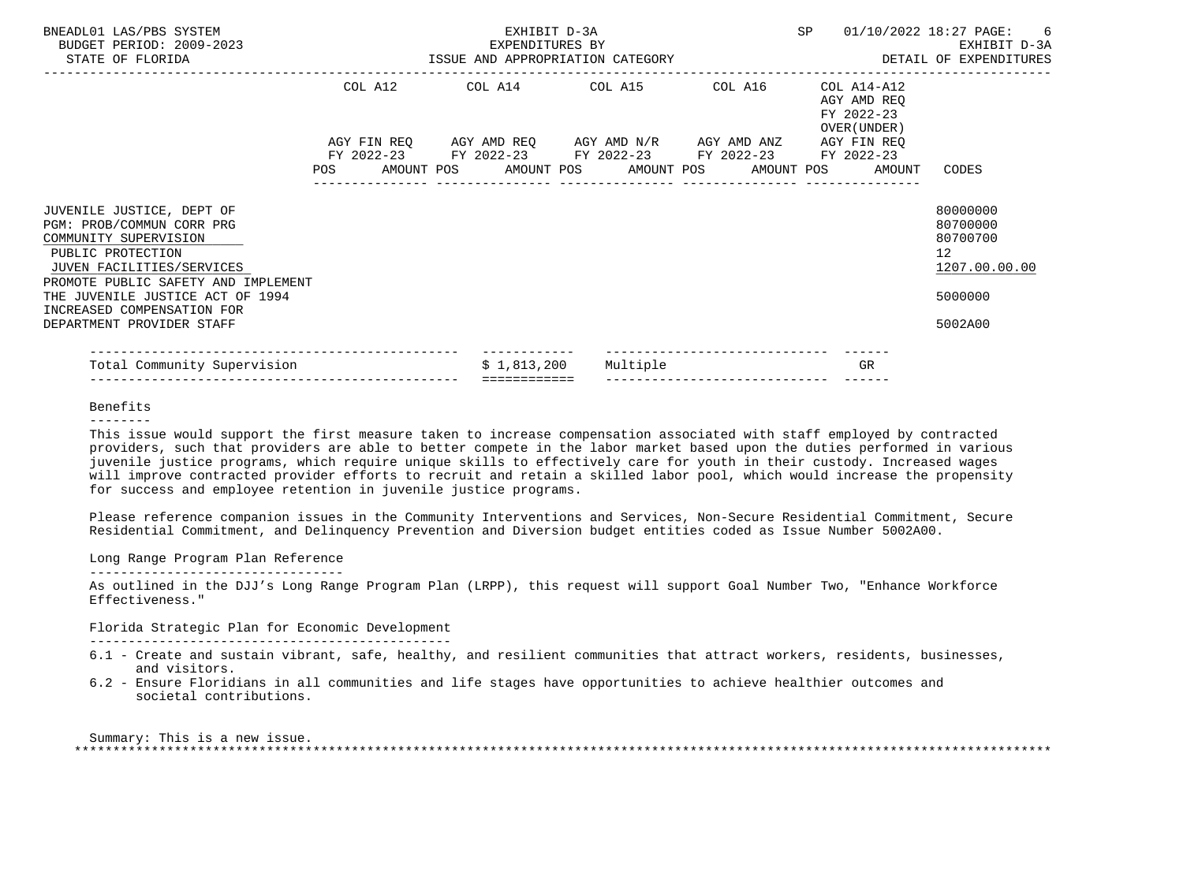| BNEADL01 LAS/PBS SYSTEM<br>BUDGET PERIOD: 2009-2023<br>EXPENDITURES BY<br>ISSUE AND APPROPRIATION CATEGORY<br>STATE OF FLORIDA                                                                                                                                          |  | EXHIBIT D-3A<br>EXPENDITURES BY |                                                                                                                                                                                 |  | SP |                                                           | 01/10/2022 18:27 PAGE: 6<br>EXHIBIT D-3A<br>DETAIL OF EXPENDITURES            |
|-------------------------------------------------------------------------------------------------------------------------------------------------------------------------------------------------------------------------------------------------------------------------|--|---------------------------------|---------------------------------------------------------------------------------------------------------------------------------------------------------------------------------|--|----|-----------------------------------------------------------|-------------------------------------------------------------------------------|
|                                                                                                                                                                                                                                                                         |  |                                 | COL A12 COL A14 COL A15 COL A16                                                                                                                                                 |  |    | COL A14-A12<br>AGY AMD REO<br>FY 2022-23<br>OVER (UNDER ) |                                                                               |
|                                                                                                                                                                                                                                                                         |  |                                 | AGY FIN REQ AGY AMD REQ AGY AMD N/R AGY AMD ANZ AGY FIN REQ<br>FY 2022-23 FY 2022-23 FY 2022-23 FY 2022-23 FY 2022-23<br>POS AMOUNT POS AMOUNT POS AMOUNT POS AMOUNT POS AMOUNT |  |    |                                                           | CODES                                                                         |
| JUVENILE JUSTICE, DEPT OF<br>PGM: PROB/COMMUN CORR PRG<br>COMMUNITY SUPERVISION<br>PUBLIC PROTECTION<br>JUVEN FACILITIES/SERVICES<br>PROMOTE PUBLIC SAFETY AND IMPLEMENT<br>THE JUVENILE JUSTICE ACT OF 1994<br>INCREASED COMPENSATION FOR<br>DEPARTMENT PROVIDER STAFF |  |                                 |                                                                                                                                                                                 |  |    |                                                           | 80000000<br>80700000<br>80700700<br>12<br>1207.00.00.00<br>5000000<br>5002A00 |
| Total Community Supervision                                                                                                                                                                                                                                             |  | \$1,813,200                     | Multiple                                                                                                                                                                        |  |    | GR                                                        |                                                                               |

# Benefits

#### --------

 This issue would support the first measure taken to increase compensation associated with staff employed by contracted providers, such that providers are able to better compete in the labor market based upon the duties performed in various juvenile justice programs, which require unique skills to effectively care for youth in their custody. Increased wages will improve contracted provider efforts to recruit and retain a skilled labor pool, which would increase the propensity for success and employee retention in juvenile justice programs.

 Please reference companion issues in the Community Interventions and Services, Non-Secure Residential Commitment, Secure Residential Commitment, and Delinquency Prevention and Diversion budget entities coded as Issue Number 5002A00.

#### Long Range Program Plan Reference ---------------------------------

 As outlined in the DJJ's Long Range Program Plan (LRPP), this request will support Goal Number Two, "Enhance Workforce Effectiveness."

# Florida Strategic Plan for Economic Development

-----------------------------------------------

- 6.1 Create and sustain vibrant, safe, healthy, and resilient communities that attract workers, residents, businesses, and visitors.
- 6.2 Ensure Floridians in all communities and life stages have opportunities to achieve healthier outcomes and societal contributions.

 Summary: This is a new issue. \*\*\*\*\*\*\*\*\*\*\*\*\*\*\*\*\*\*\*\*\*\*\*\*\*\*\*\*\*\*\*\*\*\*\*\*\*\*\*\*\*\*\*\*\*\*\*\*\*\*\*\*\*\*\*\*\*\*\*\*\*\*\*\*\*\*\*\*\*\*\*\*\*\*\*\*\*\*\*\*\*\*\*\*\*\*\*\*\*\*\*\*\*\*\*\*\*\*\*\*\*\*\*\*\*\*\*\*\*\*\*\*\*\*\*\*\*\*\*\*\*\*\*\*\*\*\*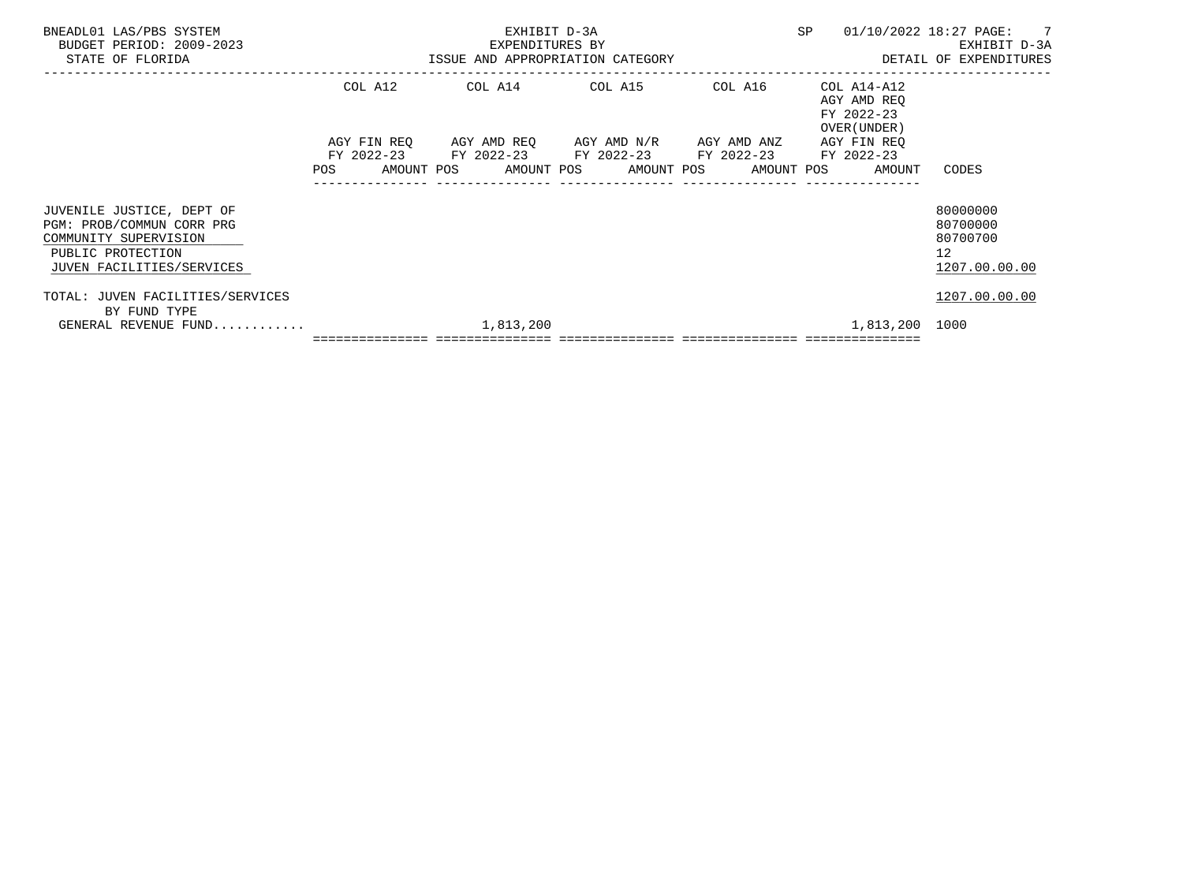| BNEADL01 LAS/PBS SYSTEM<br>BUDGET PERIOD: 2009-2023<br>STATE OF FLORIDA                                                           |         | EXHIBIT D-3A<br>EXPENDITURES BY<br>-2023 EXPENDITURES BY<br>ISSUE AND APPROPRIATION CATEGORY                     | SP | 01/10/2022 18:27 PAGE: 7<br>EXHIBIT D-3A<br>DETAIL OF EXPENDITURES |                                                         |
|-----------------------------------------------------------------------------------------------------------------------------------|---------|------------------------------------------------------------------------------------------------------------------|----|--------------------------------------------------------------------|---------------------------------------------------------|
|                                                                                                                                   | COL A12 | COL A14 COL A15 COL A16 COL A14-A12<br>AGY FIN REQ AGY AMD REQ AGY AMD N/R AGY AMD ANZ                           |    | AGY AMD REO<br>FY 2022-23<br>OVER (UNDER )<br>AGY FIN REQ          |                                                         |
|                                                                                                                                   |         | FY 2022-23 FY 2022-23 FY 2022-23 FY 2022-23 FY 2022-23<br>POS AMOUNT POS AMOUNT POS AMOUNT POS AMOUNT POS AMOUNT |    |                                                                    | CODES                                                   |
| JUVENILE JUSTICE, DEPT OF<br>PGM: PROB/COMMUN CORR PRG<br>COMMUNITY SUPERVISION<br>PUBLIC PROTECTION<br>JUVEN FACILITIES/SERVICES |         |                                                                                                                  |    |                                                                    | 80000000<br>80700000<br>80700700<br>12<br>1207.00.00.00 |
| TOTAL: JUVEN FACILITIES/SERVICES<br>BY FUND TYPE                                                                                  |         |                                                                                                                  |    |                                                                    | 1207.00.00.00                                           |
| GENERAL REVENUE FUND                                                                                                              |         | 1,813,200                                                                                                        |    | 1,813,200 1000                                                     |                                                         |
|                                                                                                                                   |         |                                                                                                                  |    |                                                                    |                                                         |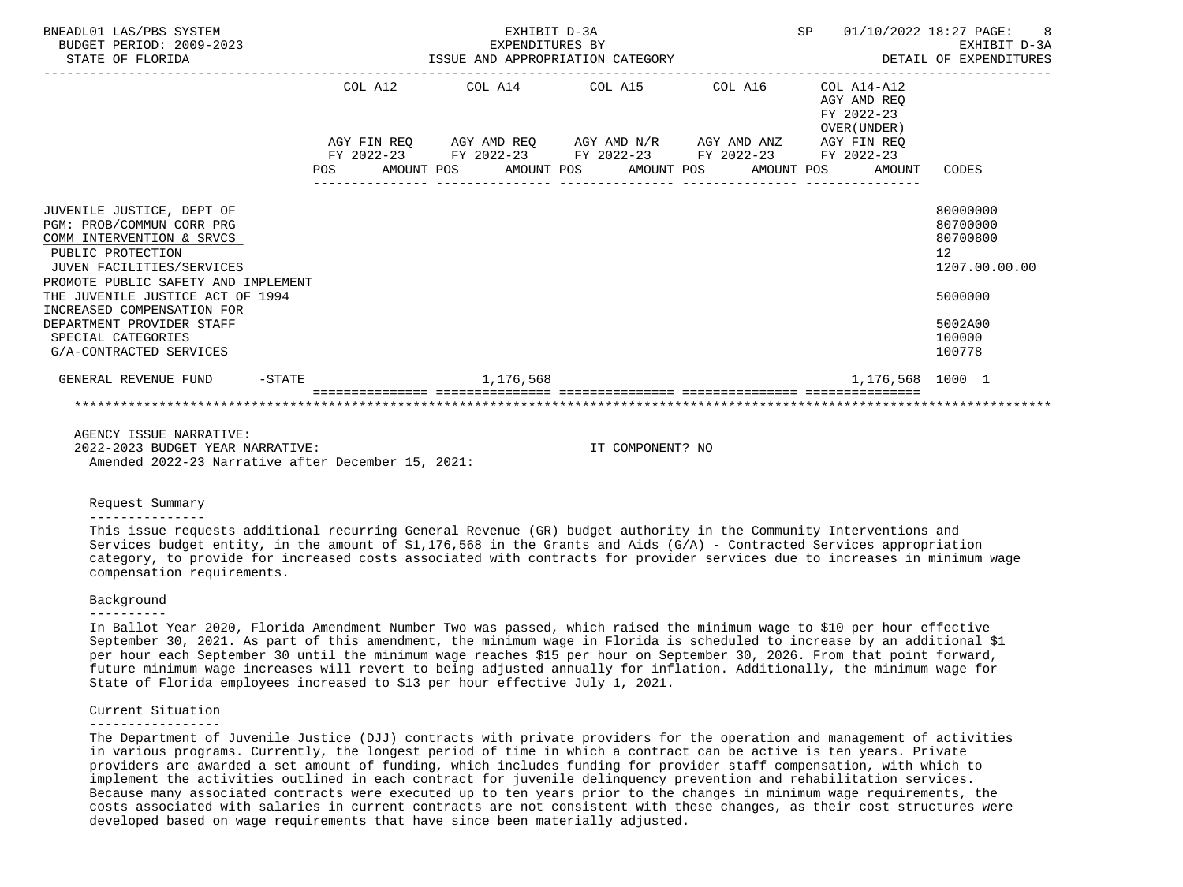| BNEADL01 LAS/PBS SYSTEM<br>BUDGET PERIOD: 2009-2023<br>STATE OF FLORIDA                                                                                                                                                                                                                                                      | EXHIBIT D-3A<br>EXPENDITURES BY |  |  |           |  |                                                                                                           |  |  | SP 01/10/2022 18:27 PAGE: 8<br>EXHIBIT D-3A |                                                                                                   |
|------------------------------------------------------------------------------------------------------------------------------------------------------------------------------------------------------------------------------------------------------------------------------------------------------------------------------|---------------------------------|--|--|-----------|--|-----------------------------------------------------------------------------------------------------------|--|--|---------------------------------------------|---------------------------------------------------------------------------------------------------|
|                                                                                                                                                                                                                                                                                                                              |                                 |  |  |           |  | $COL A12$ $COL A14$ $COL A15$ $COL A16$ $COL A14-A12$                                                     |  |  | AGY AMD REO<br>FY 2022-23<br>OVER (UNDER)   |                                                                                                   |
|                                                                                                                                                                                                                                                                                                                              |                                 |  |  |           |  | AGY FIN REQ AGY AMD REQ AGY AMD N/R AGY AMD ANZ AGY FIN REQ                                               |  |  |                                             |                                                                                                   |
|                                                                                                                                                                                                                                                                                                                              |                                 |  |  |           |  | FY 2022-23 FY 2022-23 FY 2022-23 FY 2022-23 FY 2022-23<br>POS AMOUNT POS AMOUNT POS AMOUNT POS AMOUNT POS |  |  | AMOUNT                                      | CODES                                                                                             |
| JUVENILE JUSTICE, DEPT OF<br>PGM: PROB/COMMUN CORR PRG<br>COMM INTERVENTION & SRVCS<br>PUBLIC PROTECTION<br>JUVEN FACILITIES/SERVICES<br>PROMOTE PUBLIC SAFETY AND IMPLEMENT<br>THE JUVENILE JUSTICE ACT OF 1994<br>INCREASED COMPENSATION FOR<br>DEPARTMENT PROVIDER STAFF<br>SPECIAL CATEGORIES<br>G/A-CONTRACTED SERVICES |                                 |  |  |           |  |                                                                                                           |  |  |                                             | 80000000<br>80700000<br>80700800<br>12<br>1207.00.00.00<br>5000000<br>5002A00<br>100000<br>100778 |
| GENERAL REVENUE FUND -STATE                                                                                                                                                                                                                                                                                                  |                                 |  |  | 1,176,568 |  |                                                                                                           |  |  | 1,176,568 1000 1                            |                                                                                                   |
|                                                                                                                                                                                                                                                                                                                              |                                 |  |  |           |  |                                                                                                           |  |  |                                             |                                                                                                   |
| AGENCY ISSUE NARRATIVE:                                                                                                                                                                                                                                                                                                      |                                 |  |  |           |  |                                                                                                           |  |  |                                             |                                                                                                   |

 2022-2023 BUDGET YEAR NARRATIVE: IT COMPONENT? NO Amended 2022-23 Narrative after December 15, 2021:

#### Request Summary

#### ---------------

 This issue requests additional recurring General Revenue (GR) budget authority in the Community Interventions and Services budget entity, in the amount of  $$1,176,568$  in the Grants and Aids (G/A) - Contracted Services appropriation category, to provide for increased costs associated with contracts for provider services due to increases in minimum wage compensation requirements.

#### Background

#### ----------

 In Ballot Year 2020, Florida Amendment Number Two was passed, which raised the minimum wage to \$10 per hour effective September 30, 2021. As part of this amendment, the minimum wage in Florida is scheduled to increase by an additional \$1 per hour each September 30 until the minimum wage reaches \$15 per hour on September 30, 2026. From that point forward, future minimum wage increases will revert to being adjusted annually for inflation. Additionally, the minimum wage for State of Florida employees increased to \$13 per hour effective July 1, 2021.

#### Current Situation

#### -----------------

 The Department of Juvenile Justice (DJJ) contracts with private providers for the operation and management of activities in various programs. Currently, the longest period of time in which a contract can be active is ten years. Private providers are awarded a set amount of funding, which includes funding for provider staff compensation, with which to implement the activities outlined in each contract for juvenile delinquency prevention and rehabilitation services. Because many associated contracts were executed up to ten years prior to the changes in minimum wage requirements, the costs associated with salaries in current contracts are not consistent with these changes, as their cost structures were developed based on wage requirements that have since been materially adjusted.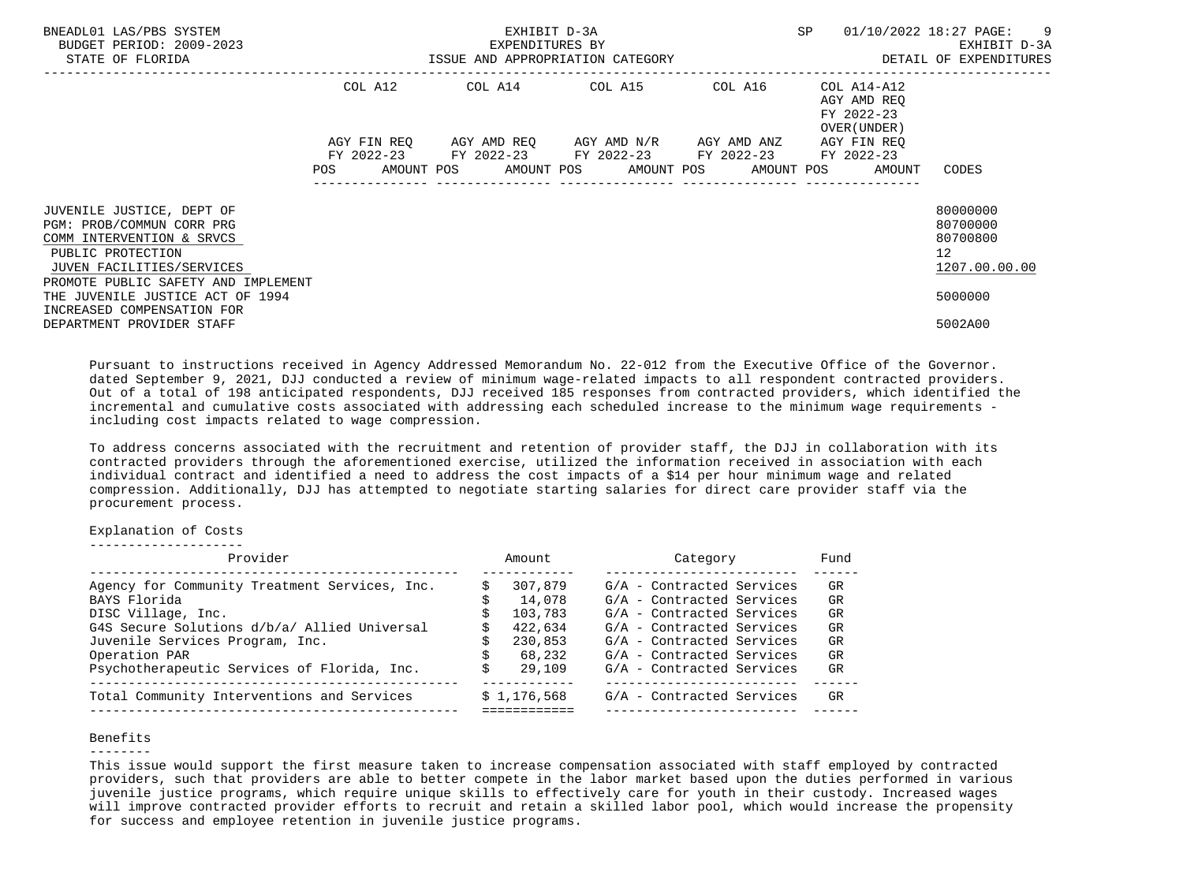| BNEADL01 LAS/PBS SYSTEM<br>BUDGET PERIOD: 2009-2023<br>STATE OF FLORIDA                                                                                                      |            | EXHIBIT D-3A<br>EXPENDITURES BY<br>ISSUE AND APPROPRIATION CATEGORY | SP                                                                                                                                                              | 01/10/2022 18:27 PAGE: 9<br>EXHIBIT D-3A<br>DETAIL OF EXPENDITURES |                             |                                                                      |
|------------------------------------------------------------------------------------------------------------------------------------------------------------------------------|------------|---------------------------------------------------------------------|-----------------------------------------------------------------------------------------------------------------------------------------------------------------|--------------------------------------------------------------------|-----------------------------|----------------------------------------------------------------------|
|                                                                                                                                                                              | COL A12    |                                                                     |                                                                                                                                                                 |                                                                    | AGY AMD REO<br>FY 2022-23   |                                                                      |
|                                                                                                                                                                              | <b>POS</b> |                                                                     | AGY FIN REQ 6GY AMD REQ 6GY AMD N/R 6GY AMD ANZ<br>FY 2022-23 FY 2022-23 FY 2022-23 FY 2022-23 FY 2022-23<br>AMOUNT POS AMOUNT POS AMOUNT POS AMOUNT POS AMOUNT |                                                                    | OVER (UNDER)<br>AGY FIN REO | CODES                                                                |
| JUVENILE JUSTICE, DEPT OF<br>PGM: PROB/COMMUN CORR PRG<br>COMM INTERVENTION & SRVCS<br>PUBLIC PROTECTION<br>JUVEN FACILITIES/SERVICES<br>PROMOTE PUBLIC SAFETY AND IMPLEMENT |            |                                                                     |                                                                                                                                                                 |                                                                    |                             | 80000000<br>80700000<br>80700800<br>12 <sup>°</sup><br>1207.00.00.00 |
| THE JUVENILE JUSTICE ACT OF 1994<br>INCREASED COMPENSATION FOR<br>DEPARTMENT PROVIDER STAFF                                                                                  |            |                                                                     |                                                                                                                                                                 |                                                                    |                             | 5000000<br>5002A00                                                   |

 Pursuant to instructions received in Agency Addressed Memorandum No. 22-012 from the Executive Office of the Governor. dated September 9, 2021, DJJ conducted a review of minimum wage-related impacts to all respondent contracted providers. Out of a total of 198 anticipated respondents, DJJ received 185 responses from contracted providers, which identified the incremental and cumulative costs associated with addressing each scheduled increase to the minimum wage requirements including cost impacts related to wage compression.

 To address concerns associated with the recruitment and retention of provider staff, the DJJ in collaboration with its contracted providers through the aforementioned exercise, utilized the information received in association with each individual contract and identified a need to address the cost impacts of a \$14 per hour minimum wage and related compression. Additionally, DJJ has attempted to negotiate starting salaries for direct care provider staff via the procurement process.

Explanation of Costs

--------------------

| Provider                                      | Amount      | Category                  | Fund |
|-----------------------------------------------|-------------|---------------------------|------|
| Agency for Community Treatment Services, Inc. | 307,879     | G/A - Contracted Services | GR   |
| BAYS Florida                                  | 14,078      | G/A - Contracted Services | GR   |
| DISC Village, Inc.                            | 103,783     | G/A - Contracted Services | GR   |
| G4S Secure Solutions d/b/a/ Allied Universal  | 422,634     | G/A - Contracted Services | GR   |
| Juvenile Services Program, Inc.               | 230,853     | G/A - Contracted Services | GR   |
| Operation PAR                                 | 68,232      | G/A - Contracted Services | GR   |
| Psychotherapeutic Services of Florida, Inc.   | 29,109      | G/A - Contracted Services | GR   |
| Total Community Interventions and Services    | \$1,176,568 | G/A - Contracted Services | GR   |
|                                               |             |                           |      |

#### Benefits

 This issue would support the first measure taken to increase compensation associated with staff employed by contracted providers, such that providers are able to better compete in the labor market based upon the duties performed in various juvenile justice programs, which require unique skills to effectively care for youth in their custody. Increased wages will improve contracted provider efforts to recruit and retain a skilled labor pool, which would increase the propensity for success and employee retention in juvenile justice programs.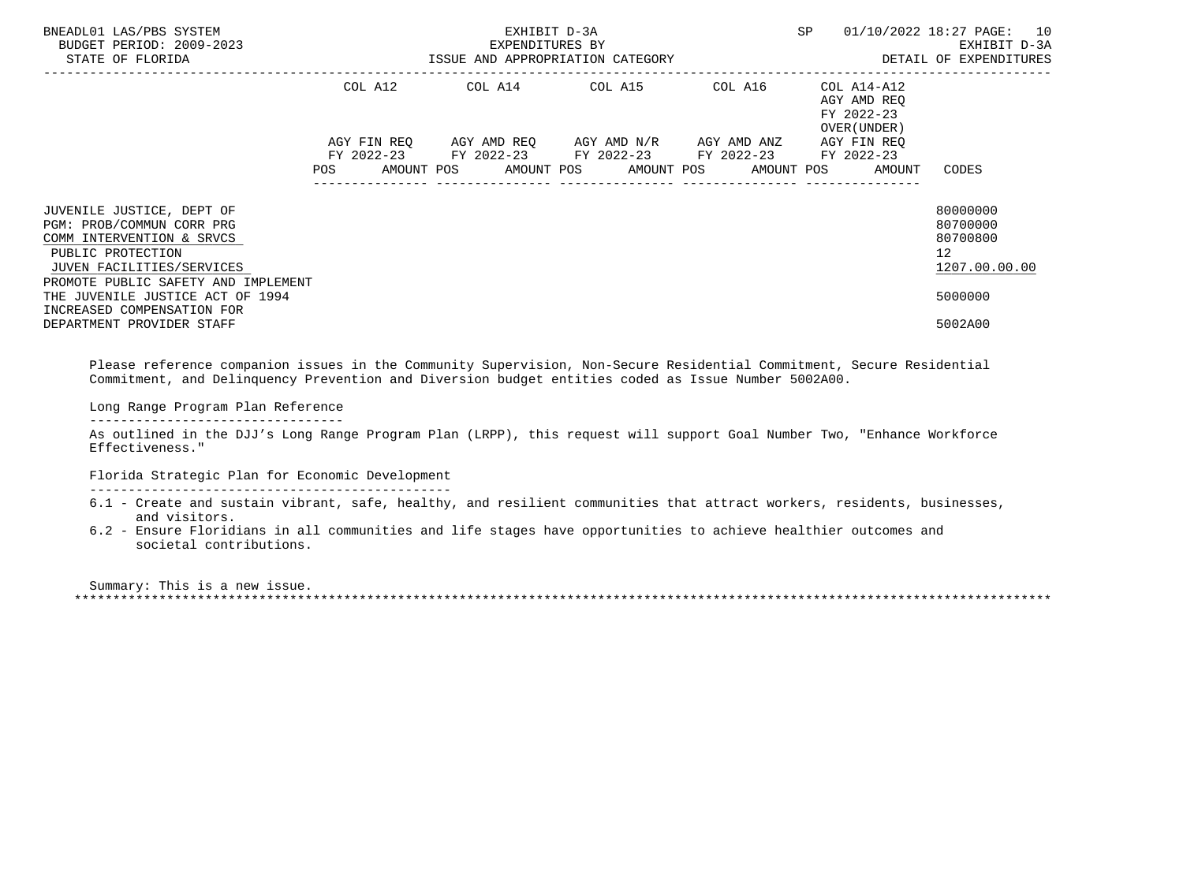| BNEADL01 LAS/PBS SYSTEM<br>BUDGET PERIOD: 2009-2023<br>STATE OF FLORIDA                                                                                                                                                                                                     |                                                                                                                | EXHIBIT D-3A<br>EXPENDITURES BY | SP                                                                                                                                                       | 01/10/2022 18:27 PAGE: 10<br>EXHIBIT D-3A<br>ISSUE AND APPROPRIATION CATEGORY <b>ALL SECOMMENT SECOND DETAIL OF EXPENDITURES</b> |                                                          |                                                                                            |
|-----------------------------------------------------------------------------------------------------------------------------------------------------------------------------------------------------------------------------------------------------------------------------|----------------------------------------------------------------------------------------------------------------|---------------------------------|----------------------------------------------------------------------------------------------------------------------------------------------------------|----------------------------------------------------------------------------------------------------------------------------------|----------------------------------------------------------|--------------------------------------------------------------------------------------------|
|                                                                                                                                                                                                                                                                             |                                                                                                                |                                 | COL A12 COL A14 COL A15 COL A16                                                                                                                          |                                                                                                                                  | COL A14-A12<br>AGY AMD REO<br>FY 2022-23<br>OVER (UNDER) |                                                                                            |
|                                                                                                                                                                                                                                                                             | POS FOR THE POST OF THE POST OF THE POST OF THE POST OF THE POST OF THE POST OF THE POST OF THE POST OF THE PO |                                 | AGY FIN REO AGY AMD REO AGY AMD N/R AGY AMD ANZ<br>FY 2022-23 FY 2022-23 FY 2022-23 FY 2022-23 FY 2022-23<br>AMOUNT POS AMOUNT POS AMOUNT POS AMOUNT POS |                                                                                                                                  | AGY FIN REO<br>AMOUNT                                    | CODES                                                                                      |
| JUVENILE JUSTICE, DEPT OF<br>PGM: PROB/COMMUN CORR PRG<br>COMM INTERVENTION & SRVCS<br>PUBLIC PROTECTION<br>JUVEN FACILITIES/SERVICES<br>PROMOTE PUBLIC SAFETY AND IMPLEMENT<br>THE JUVENILE JUSTICE ACT OF 1994<br>INCREASED COMPENSATION FOR<br>DEPARTMENT PROVIDER STAFF |                                                                                                                |                                 |                                                                                                                                                          |                                                                                                                                  |                                                          | 80000000<br>80700000<br>80700800<br>12 <sup>7</sup><br>1207.00.00.00<br>5000000<br>5002A00 |

 Please reference companion issues in the Community Supervision, Non-Secure Residential Commitment, Secure Residential Commitment, and Delinquency Prevention and Diversion budget entities coded as Issue Number 5002A00.

Long Range Program Plan Reference

---------------------------------

 As outlined in the DJJ's Long Range Program Plan (LRPP), this request will support Goal Number Two, "Enhance Workforce Effectiveness."

Florida Strategic Plan for Economic Development

-----------------------------------------------

- 6.1 Create and sustain vibrant, safe, healthy, and resilient communities that attract workers, residents, businesses, and visitors.
- 6.2 Ensure Floridians in all communities and life stages have opportunities to achieve healthier outcomes and societal contributions.

 Summary: This is a new issue. \*\*\*\*\*\*\*\*\*\*\*\*\*\*\*\*\*\*\*\*\*\*\*\*\*\*\*\*\*\*\*\*\*\*\*\*\*\*\*\*\*\*\*\*\*\*\*\*\*\*\*\*\*\*\*\*\*\*\*\*\*\*\*\*\*\*\*\*\*\*\*\*\*\*\*\*\*\*\*\*\*\*\*\*\*\*\*\*\*\*\*\*\*\*\*\*\*\*\*\*\*\*\*\*\*\*\*\*\*\*\*\*\*\*\*\*\*\*\*\*\*\*\*\*\*\*\*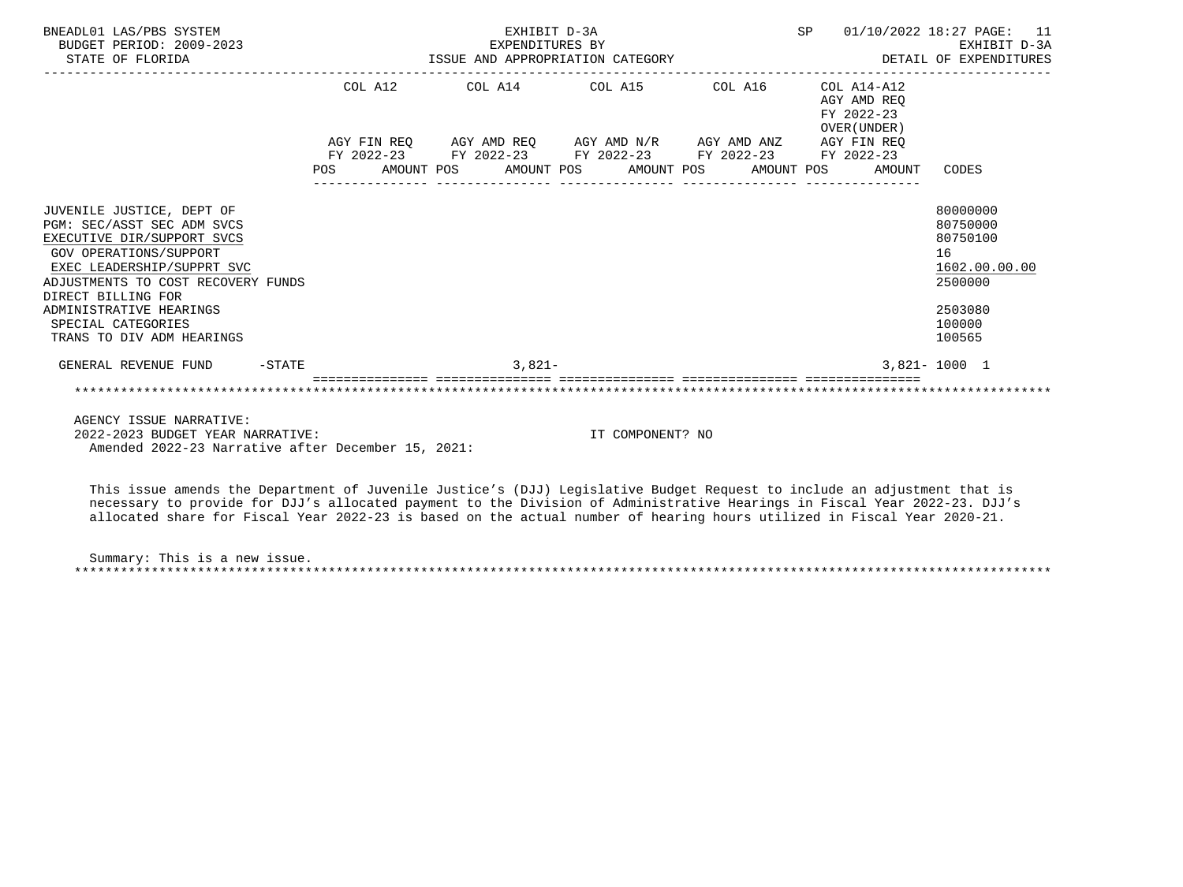| BNEADL01 LAS/PBS SYSTEM<br>BUDGET PERIOD: 2009-2023<br>STATE OF FLORIDA                                                                                                                                                                                                                 | EXHIBIT D-3A                                                |  |          |  |                  |  |  |                                           | SP 01/10/2022 18:27 PAGE: 11                                                                      |
|-----------------------------------------------------------------------------------------------------------------------------------------------------------------------------------------------------------------------------------------------------------------------------------------|-------------------------------------------------------------|--|----------|--|------------------|--|--|-------------------------------------------|---------------------------------------------------------------------------------------------------|
|                                                                                                                                                                                                                                                                                         | COL A12 COL A14 COL A15 COL A16 COL A14-A12                 |  |          |  |                  |  |  | AGY AMD REO<br>FY 2022-23<br>OVER (UNDER) |                                                                                                   |
|                                                                                                                                                                                                                                                                                         | AGY FIN REO AGY AMD REO AGY AMD N/R AGY AMD ANZ AGY FIN REO |  |          |  |                  |  |  |                                           |                                                                                                   |
|                                                                                                                                                                                                                                                                                         | FY 2022-23 FY 2022-23 FY 2022-23 FY 2022-23 FY 2022-23      |  |          |  |                  |  |  |                                           |                                                                                                   |
|                                                                                                                                                                                                                                                                                         | POS AMOUNT POS AMOUNT POS AMOUNT POS AMOUNT POS             |  |          |  |                  |  |  | AMOUNT                                    | CODES                                                                                             |
| JUVENILE JUSTICE, DEPT OF<br>PGM: SEC/ASST SEC ADM SVCS<br>EXECUTIVE DIR/SUPPORT SVCS<br>GOV OPERATIONS/SUPPORT<br>EXEC LEADERSHIP/SUPPRT SVC<br>ADJUSTMENTS TO COST RECOVERY FUNDS<br>DIRECT BILLING FOR<br>ADMINISTRATIVE HEARINGS<br>SPECIAL CATEGORIES<br>TRANS TO DIV ADM HEARINGS |                                                             |  |          |  |                  |  |  |                                           | 80000000<br>80750000<br>80750100<br>16<br>1602.00.00.00<br>2500000<br>2503080<br>100000<br>100565 |
| GENERAL REVENUE FUND -STATE                                                                                                                                                                                                                                                             |                                                             |  | $3.821-$ |  |                  |  |  |                                           | $3.821 - 1000$ 1                                                                                  |
|                                                                                                                                                                                                                                                                                         |                                                             |  |          |  |                  |  |  |                                           |                                                                                                   |
| AGENCY ISSUE NARRATIVE:<br>2022-2023 BUDGET YEAR NARRATIVE:<br>Amended 2022-23 Narrative after December 15, 2021:                                                                                                                                                                       |                                                             |  |          |  | IT COMPONENT? NO |  |  |                                           |                                                                                                   |

 This issue amends the Department of Juvenile Justice's (DJJ) Legislative Budget Request to include an adjustment that is necessary to provide for DJJ's allocated payment to the Division of Administrative Hearings in Fiscal Year 2022-23. DJJ's allocated share for Fiscal Year 2022-23 is based on the actual number of hearing hours utilized in Fiscal Year 2020-21.

 Summary: This is a new issue. \*\*\*\*\*\*\*\*\*\*\*\*\*\*\*\*\*\*\*\*\*\*\*\*\*\*\*\*\*\*\*\*\*\*\*\*\*\*\*\*\*\*\*\*\*\*\*\*\*\*\*\*\*\*\*\*\*\*\*\*\*\*\*\*\*\*\*\*\*\*\*\*\*\*\*\*\*\*\*\*\*\*\*\*\*\*\*\*\*\*\*\*\*\*\*\*\*\*\*\*\*\*\*\*\*\*\*\*\*\*\*\*\*\*\*\*\*\*\*\*\*\*\*\*\*\*\*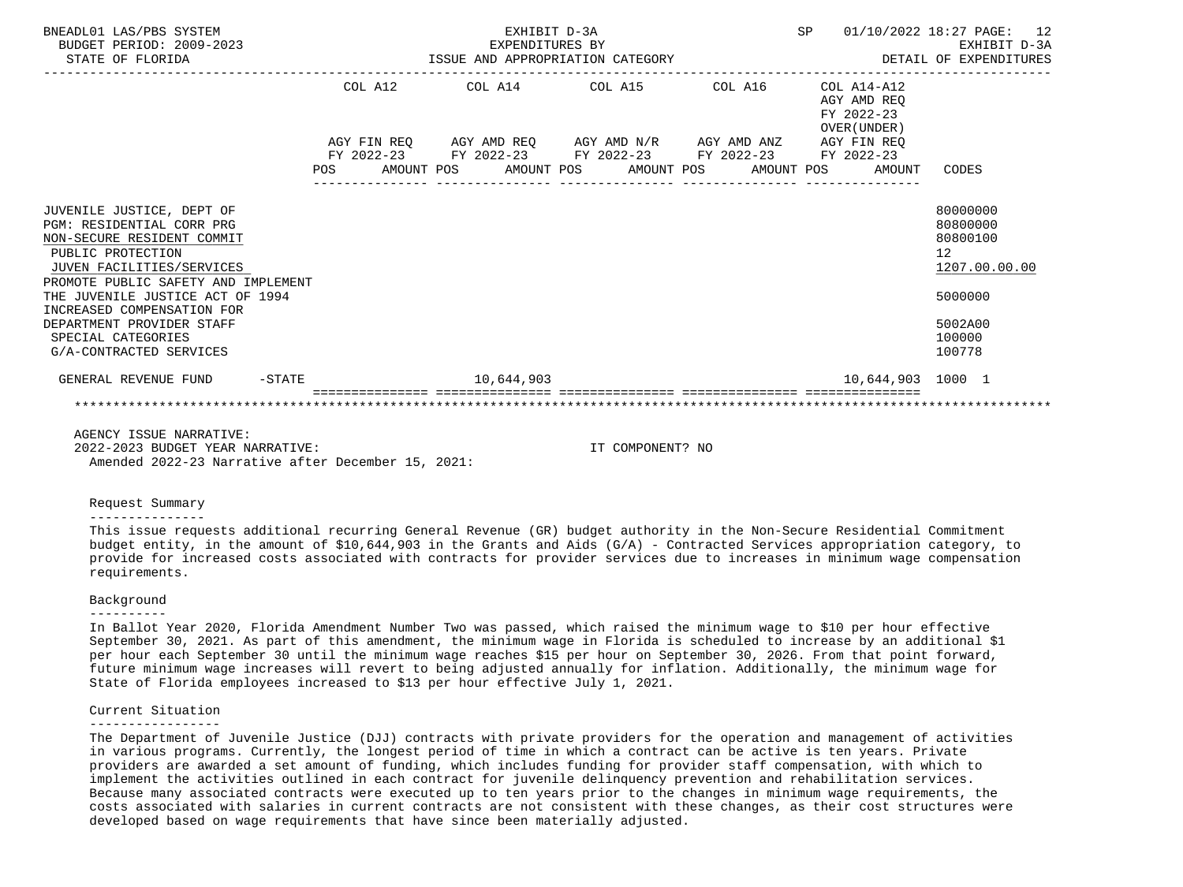| BNEADL01 LAS/PBS SYSTEM<br>BUDGET PERIOD: 2009-2023<br>STATE OF FLORIDA                                                                                                                                                                                                                                                       | EXHIBIT D-3A<br>EXPENDITURES BY<br>ISSUE AND APPROPRIATION CATEGORY |  |  |            |  |                                                                                                                                                                      |  | SP |  | 01/10/2022 18:27 PAGE:<br>12<br>EXHIBIT D-3A<br>DETAIL OF EXPENDITURES |                                                                                                                |
|-------------------------------------------------------------------------------------------------------------------------------------------------------------------------------------------------------------------------------------------------------------------------------------------------------------------------------|---------------------------------------------------------------------|--|--|------------|--|----------------------------------------------------------------------------------------------------------------------------------------------------------------------|--|----|--|------------------------------------------------------------------------|----------------------------------------------------------------------------------------------------------------|
|                                                                                                                                                                                                                                                                                                                               |                                                                     |  |  |            |  | COL A12 COL A14 COL A15 COL A16                                                                                                                                      |  |    |  | COL A14-A12<br>AGY AMD REO<br>FY 2022-23                               |                                                                                                                |
|                                                                                                                                                                                                                                                                                                                               | <b>POS</b>                                                          |  |  |            |  | AGY FIN REQ AGY AMD REQ AGY AMD N/R AGY AMD ANZ AGY FIN REQ<br>FY 2022-23 FY 2022-23 FY 2022-23 FY 2022-23 FY 2022-23<br>AMOUNT POS AMOUNT POS AMOUNT POS AMOUNT POS |  |    |  | OVER (UNDER)<br>AMOUNT                                                 | CODES                                                                                                          |
|                                                                                                                                                                                                                                                                                                                               |                                                                     |  |  |            |  |                                                                                                                                                                      |  |    |  |                                                                        |                                                                                                                |
| JUVENILE JUSTICE, DEPT OF<br>PGM: RESIDENTIAL CORR PRG<br>NON-SECURE RESIDENT COMMIT<br>PUBLIC PROTECTION<br>JUVEN FACILITIES/SERVICES<br>PROMOTE PUBLIC SAFETY AND IMPLEMENT<br>THE JUVENILE JUSTICE ACT OF 1994<br>INCREASED COMPENSATION FOR<br>DEPARTMENT PROVIDER STAFF<br>SPECIAL CATEGORIES<br>G/A-CONTRACTED SERVICES |                                                                     |  |  |            |  |                                                                                                                                                                      |  |    |  |                                                                        | 80000000<br>80800000<br>80800100<br>12 <sup>°</sup><br>1207.00.00.00<br>5000000<br>5002A00<br>100000<br>100778 |
| GENERAL REVENUE FUND -STATE                                                                                                                                                                                                                                                                                                   |                                                                     |  |  | 10,644,903 |  |                                                                                                                                                                      |  |    |  | 10,644,903 1000 1                                                      |                                                                                                                |
|                                                                                                                                                                                                                                                                                                                               |                                                                     |  |  |            |  |                                                                                                                                                                      |  |    |  |                                                                        |                                                                                                                |
| AGENCY ISSUE NARRATIVE:                                                                                                                                                                                                                                                                                                       |                                                                     |  |  |            |  |                                                                                                                                                                      |  |    |  |                                                                        |                                                                                                                |

 2022-2023 BUDGET YEAR NARRATIVE: IT COMPONENT? NO Amended 2022-23 Narrative after December 15, 2021:

#### Request Summary

#### ---------------

 This issue requests additional recurring General Revenue (GR) budget authority in the Non-Secure Residential Commitment budget entity, in the amount of \$10,644,903 in the Grants and Aids (G/A) - Contracted Services appropriation category, to provide for increased costs associated with contracts for provider services due to increases in minimum wage compensation requirements.

#### Background

#### ----------

 In Ballot Year 2020, Florida Amendment Number Two was passed, which raised the minimum wage to \$10 per hour effective September 30, 2021. As part of this amendment, the minimum wage in Florida is scheduled to increase by an additional \$1 per hour each September 30 until the minimum wage reaches \$15 per hour on September 30, 2026. From that point forward, future minimum wage increases will revert to being adjusted annually for inflation. Additionally, the minimum wage for State of Florida employees increased to \$13 per hour effective July 1, 2021.

#### Current Situation

#### -----------------

 The Department of Juvenile Justice (DJJ) contracts with private providers for the operation and management of activities in various programs. Currently, the longest period of time in which a contract can be active is ten years. Private providers are awarded a set amount of funding, which includes funding for provider staff compensation, with which to implement the activities outlined in each contract for juvenile delinquency prevention and rehabilitation services. Because many associated contracts were executed up to ten years prior to the changes in minimum wage requirements, the costs associated with salaries in current contracts are not consistent with these changes, as their cost structures were developed based on wage requirements that have since been materially adjusted.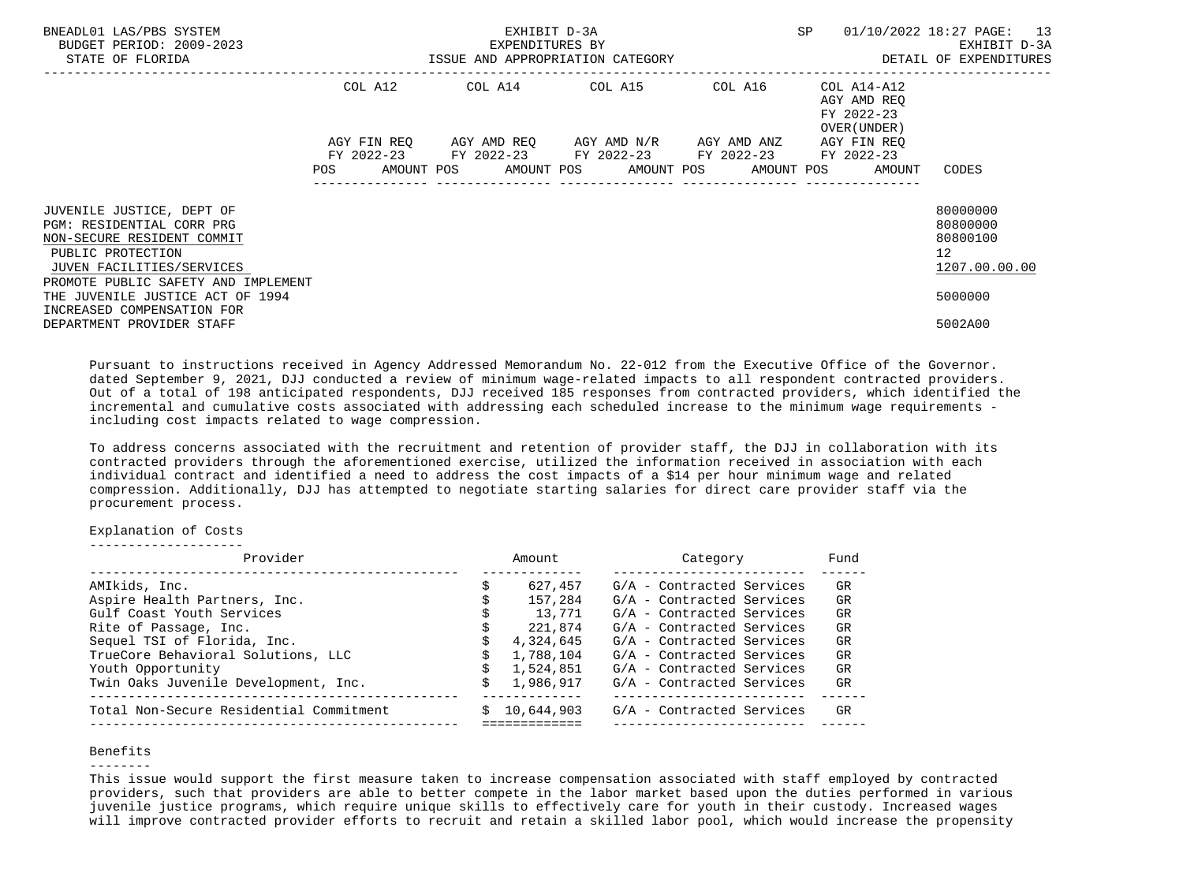| BNEADL01 LAS/PBS SYSTEM<br>BUDGET PERIOD: 2009-2023<br>STATE OF FLORIDA                                                                                                       |                           | EXHIBIT D-3A<br>EXPENDITURES BY<br>ISSUE AND APPROPRIATION CATEGORY | SP                                           | 01/10/2022 18:27 PAGE: 13<br>EXHIBIT D-3A<br>DETAIL OF EXPENDITURES |                                                                   |                                                                      |
|-------------------------------------------------------------------------------------------------------------------------------------------------------------------------------|---------------------------|---------------------------------------------------------------------|----------------------------------------------|---------------------------------------------------------------------|-------------------------------------------------------------------|----------------------------------------------------------------------|
|                                                                                                                                                                               | COL A12                   | COL A14 COL A15 COL A16                                             |                                              |                                                                     | COL A14-A12<br>AGY AMD REO<br>FY 2022-23<br>OVER (UNDER )         |                                                                      |
|                                                                                                                                                                               | AGY FIN REO<br><b>POS</b> | FY 2022-23 FY 2022-23 FY 2022-23 FY 2022-23 FY 2022-23              | AGY AMD REQ      AGY AMD N/R     AGY AMD ANZ |                                                                     | AGY FIN REO<br>AMOUNT POS AMOUNT POS AMOUNT POS AMOUNT POS AMOUNT | CODES                                                                |
| JUVENILE JUSTICE, DEPT OF<br>PGM: RESIDENTIAL CORR PRG<br>NON-SECURE RESIDENT COMMIT<br>PUBLIC PROTECTION<br>JUVEN FACILITIES/SERVICES<br>PROMOTE PUBLIC SAFETY AND IMPLEMENT |                           |                                                                     |                                              |                                                                     |                                                                   | 80000000<br>80800000<br>80800100<br>12 <sup>°</sup><br>1207.00.00.00 |
| THE JUVENILE JUSTICE ACT OF 1994<br>INCREASED COMPENSATION FOR<br>DEPARTMENT PROVIDER STAFF                                                                                   |                           |                                                                     |                                              |                                                                     |                                                                   | 5000000<br>5002A00                                                   |

 Pursuant to instructions received in Agency Addressed Memorandum No. 22-012 from the Executive Office of the Governor. dated September 9, 2021, DJJ conducted a review of minimum wage-related impacts to all respondent contracted providers. Out of a total of 198 anticipated respondents, DJJ received 185 responses from contracted providers, which identified the incremental and cumulative costs associated with addressing each scheduled increase to the minimum wage requirements including cost impacts related to wage compression.

 To address concerns associated with the recruitment and retention of provider staff, the DJJ in collaboration with its contracted providers through the aforementioned exercise, utilized the information received in association with each individual contract and identified a need to address the cost impacts of a \$14 per hour minimum wage and related compression. Additionally, DJJ has attempted to negotiate starting salaries for direct care provider staff via the procurement process.

## Explanation of Costs

--------------------

| Provider                                | Amount     | Category                  | Fund |
|-----------------------------------------|------------|---------------------------|------|
| AMIkids, Inc.                           | 627,457    | G/A - Contracted Services | GR   |
| Aspire Health Partners, Inc.            | 157,284    | G/A - Contracted Services | GR   |
| Gulf Coast Youth Services               | 13,771     | G/A - Contracted Services | GR   |
| Rite of Passage, Inc.                   | 221,874    | G/A - Contracted Services | GR   |
| Sequel TSI of Florida, Inc.             | 4,324,645  | G/A - Contracted Services | GR   |
| TrueCore Behavioral Solutions, LLC      | 1,788,104  | G/A - Contracted Services | GR   |
| Youth Opportunity                       | 1,524,851  | G/A - Contracted Services | GR   |
| Twin Oaks Juvenile Development, Inc.    | 1,986,917  | G/A - Contracted Services | GR   |
| Total Non-Secure Residential Commitment | 10,644,903 | G/A - Contracted Services | GR   |
|                                         |            |                           |      |

## Benefits

--------

 This issue would support the first measure taken to increase compensation associated with staff employed by contracted providers, such that providers are able to better compete in the labor market based upon the duties performed in various juvenile justice programs, which require unique skills to effectively care for youth in their custody. Increased wages will improve contracted provider efforts to recruit and retain a skilled labor pool, which would increase the propensity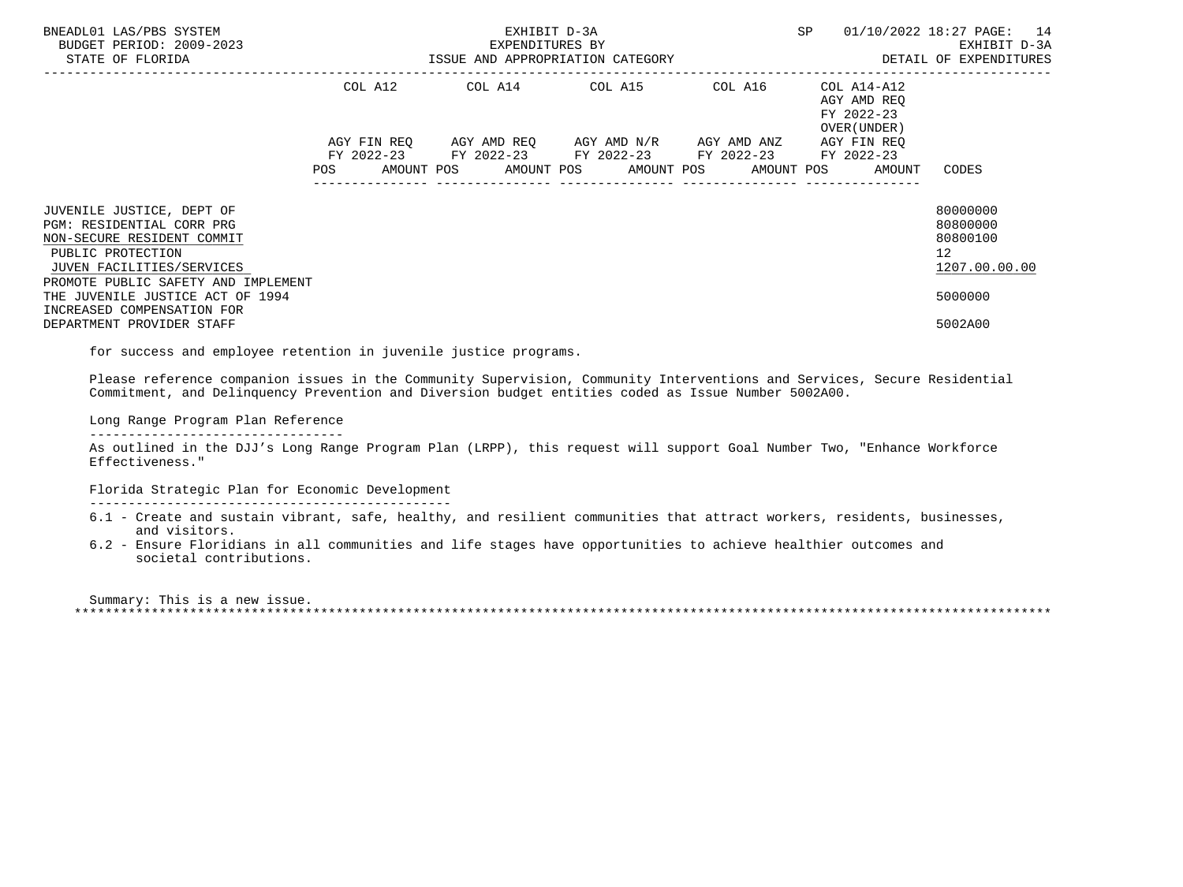| BNEADL01 LAS/PBS SYSTEM<br>BUDGET PERIOD: 2009-2023<br>STATE OF FLORIDA                                                                                                       | EXHIBIT D-3A<br>EXPENDITURES BY<br>ISSUE AND APPROPRIATION CATEGORY <b>Example 20 SETAIL OF EXPENDITURES</b> |  |  |  |  |                                             |  |         |  |                                                                                     | 01/10/2022 18:27 PAGE: 14<br>EXHIBIT D-3A                            |
|-------------------------------------------------------------------------------------------------------------------------------------------------------------------------------|--------------------------------------------------------------------------------------------------------------|--|--|--|--|---------------------------------------------|--|---------|--|-------------------------------------------------------------------------------------|----------------------------------------------------------------------|
|                                                                                                                                                                               |                                                                                                              |  |  |  |  | COL A12 COL A14 COL A15                     |  | COL A16 |  | COL A14-A12<br>AGY AMD REO<br>FY 2022-23<br>OVER (UNDER)                            |                                                                      |
|                                                                                                                                                                               |                                                                                                              |  |  |  |  | FY 2022-23 FY 2022-23 FY 2022-23 FY 2022-23 |  |         |  | AGY FIN REO<br>FY 2022-23<br>POS AMOUNT POS AMOUNT POS AMOUNT POS AMOUNT POS AMOUNT | CODES                                                                |
| JUVENILE JUSTICE, DEPT OF<br>PGM: RESIDENTIAL CORR PRG<br>NON-SECURE RESIDENT COMMIT<br>PUBLIC PROTECTION<br>JUVEN FACILITIES/SERVICES<br>PROMOTE PUBLIC SAFETY AND IMPLEMENT |                                                                                                              |  |  |  |  |                                             |  |         |  |                                                                                     | 80000000<br>80800000<br>80800100<br>12 <sup>7</sup><br>1207.00.00.00 |
| THE JUVENILE JUSTICE ACT OF 1994<br>INCREASED COMPENSATION FOR<br>DEPARTMENT PROVIDER STAFF                                                                                   |                                                                                                              |  |  |  |  |                                             |  |         |  |                                                                                     | 5000000<br>5002A00                                                   |
|                                                                                                                                                                               |                                                                                                              |  |  |  |  |                                             |  |         |  |                                                                                     |                                                                      |

for success and employee retention in juvenile justice programs.

 Please reference companion issues in the Community Supervision, Community Interventions and Services, Secure Residential Commitment, and Delinquency Prevention and Diversion budget entities coded as Issue Number 5002A00.

Long Range Program Plan Reference

---------------------------------

 As outlined in the DJJ's Long Range Program Plan (LRPP), this request will support Goal Number Two, "Enhance Workforce Effectiveness."

Florida Strategic Plan for Economic Development

-----------------------------------------------

- 6.1 Create and sustain vibrant, safe, healthy, and resilient communities that attract workers, residents, businesses, and visitors.
- 6.2 Ensure Floridians in all communities and life stages have opportunities to achieve healthier outcomes and societal contributions.

 Summary: This is a new issue. \*\*\*\*\*\*\*\*\*\*\*\*\*\*\*\*\*\*\*\*\*\*\*\*\*\*\*\*\*\*\*\*\*\*\*\*\*\*\*\*\*\*\*\*\*\*\*\*\*\*\*\*\*\*\*\*\*\*\*\*\*\*\*\*\*\*\*\*\*\*\*\*\*\*\*\*\*\*\*\*\*\*\*\*\*\*\*\*\*\*\*\*\*\*\*\*\*\*\*\*\*\*\*\*\*\*\*\*\*\*\*\*\*\*\*\*\*\*\*\*\*\*\*\*\*\*\*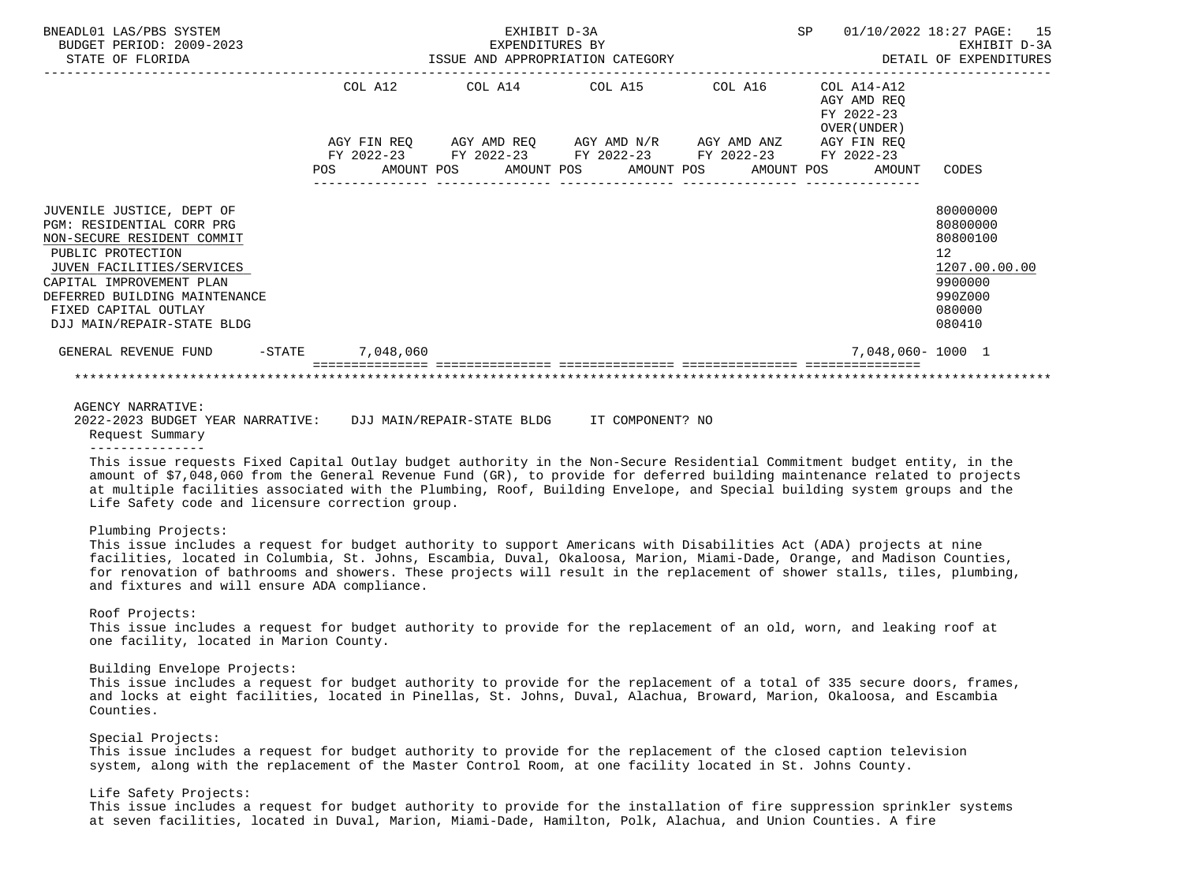| BNEADL01 LAS/PBS SYSTEM<br>BUDGET PERIOD: 2009-2023<br>STATE OF FLORIDA                                                                                                                                                                                   | EXHIBIT D-3A<br>EXPENDITURES BY<br>ISSUE AND APPROPRIATION CATEGORY |                  |  |  |  |  |                                                                                            |  | SP         |  | 01/10/2022 18:27 PAGE: 15<br>EXHIBIT D-3A<br>DETAIL OF EXPENDITURES   |                                                                                                   |  |
|-----------------------------------------------------------------------------------------------------------------------------------------------------------------------------------------------------------------------------------------------------------|---------------------------------------------------------------------|------------------|--|--|--|--|--------------------------------------------------------------------------------------------|--|------------|--|-----------------------------------------------------------------------|---------------------------------------------------------------------------------------------------|--|
|                                                                                                                                                                                                                                                           | COL A12                                                             |                  |  |  |  |  | COL A14 COL A15 COL A16                                                                    |  |            |  | COL A14-A12<br>AGY AMD REO<br>FY 2022-23<br>OVER (UNDER)              |                                                                                                   |  |
|                                                                                                                                                                                                                                                           | POS                                                                 |                  |  |  |  |  | FY 2022-23 FY 2022-23 FY 2022-23 FY 2022-23 FY 2022-23<br>AMOUNT POS AMOUNT POS AMOUNT POS |  | AMOUNT POS |  | AGY FIN REQ AGY AMD REQ AGY AMD N/R AGY AMD ANZ AGY FIN REQ<br>AMOUNT | CODES                                                                                             |  |
| JUVENILE JUSTICE, DEPT OF<br>PGM: RESIDENTIAL CORR PRG<br>NON-SECURE RESIDENT COMMIT<br>PUBLIC PROTECTION<br>JUVEN FACILITIES/SERVICES<br>CAPITAL IMPROVEMENT PLAN<br>DEFERRED BUILDING MAINTENANCE<br>FIXED CAPITAL OUTLAY<br>DJJ MAIN/REPAIR-STATE BLDG |                                                                     |                  |  |  |  |  |                                                                                            |  |            |  |                                                                       | 80000000<br>80800000<br>80800100<br>12<br>1207.00.00.00<br>9900000<br>990Z000<br>080000<br>080410 |  |
| GENERAL REVENUE FUND                                                                                                                                                                                                                                      |                                                                     | -STATE 7,048,060 |  |  |  |  |                                                                                            |  |            |  | 7,048,060-1000 1                                                      |                                                                                                   |  |
|                                                                                                                                                                                                                                                           |                                                                     |                  |  |  |  |  |                                                                                            |  |            |  |                                                                       |                                                                                                   |  |

AGENCY NARRATIVE:

 2022-2023 BUDGET YEAR NARRATIVE: DJJ MAIN/REPAIR-STATE BLDG IT COMPONENT? NO Request Summary

---------------

 This issue requests Fixed Capital Outlay budget authority in the Non-Secure Residential Commitment budget entity, in the amount of \$7,048,060 from the General Revenue Fund (GR), to provide for deferred building maintenance related to projects at multiple facilities associated with the Plumbing, Roof, Building Envelope, and Special building system groups and the Life Safety code and licensure correction group.

## Plumbing Projects:

 This issue includes a request for budget authority to support Americans with Disabilities Act (ADA) projects at nine facilities, located in Columbia, St. Johns, Escambia, Duval, Okaloosa, Marion, Miami-Dade, Orange, and Madison Counties, for renovation of bathrooms and showers. These projects will result in the replacement of shower stalls, tiles, plumbing, and fixtures and will ensure ADA compliance.

#### Roof Projects:

 This issue includes a request for budget authority to provide for the replacement of an old, worn, and leaking roof at one facility, located in Marion County.

Building Envelope Projects:

 This issue includes a request for budget authority to provide for the replacement of a total of 335 secure doors, frames, and locks at eight facilities, located in Pinellas, St. Johns, Duval, Alachua, Broward, Marion, Okaloosa, and Escambia Counties.

Special Projects:

 This issue includes a request for budget authority to provide for the replacement of the closed caption television system, along with the replacement of the Master Control Room, at one facility located in St. Johns County.

# Life Safety Projects:

 This issue includes a request for budget authority to provide for the installation of fire suppression sprinkler systems at seven facilities, located in Duval, Marion, Miami-Dade, Hamilton, Polk, Alachua, and Union Counties. A fire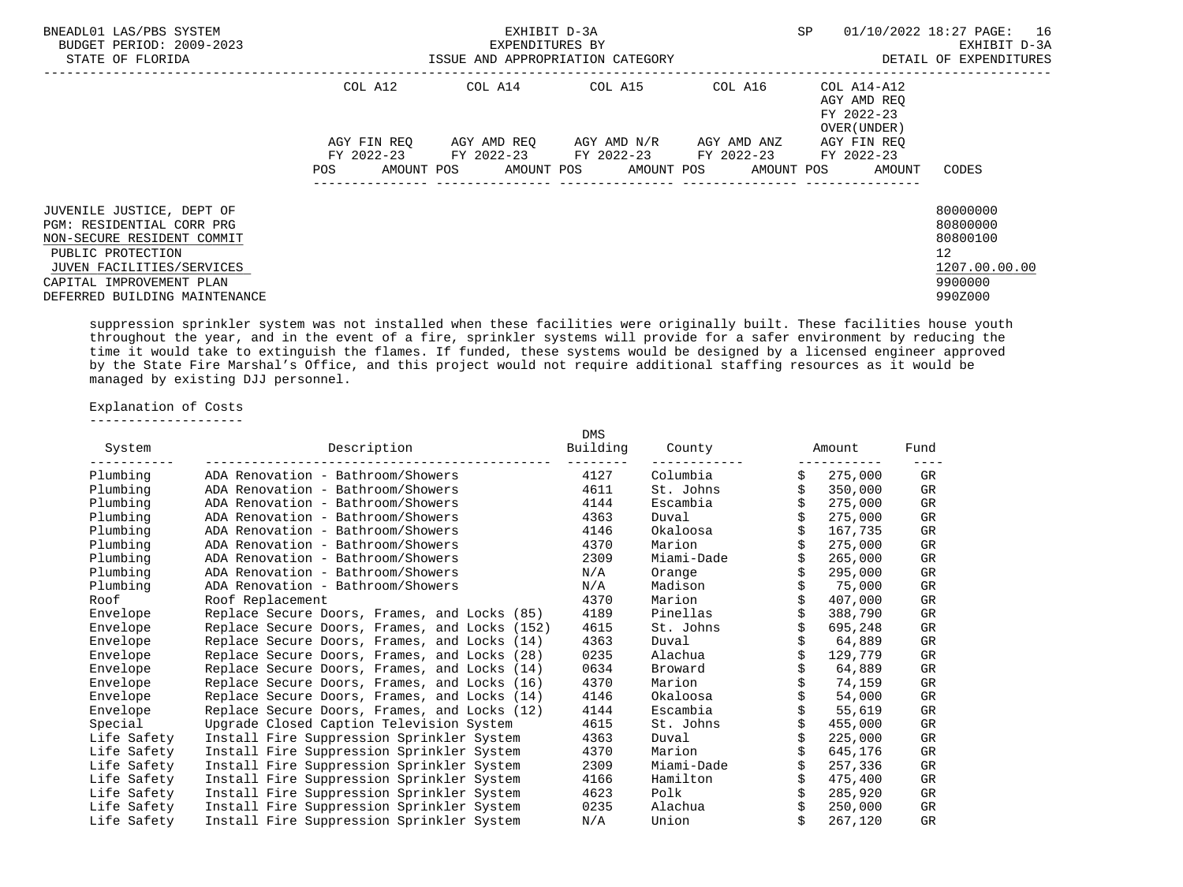| BNEADL01 LAS/PBS SYSTEM<br>BUDGET PERIOD: 2009-2023<br>STATE OF FLORIDA                                                                                                                             |                    | EXHIBIT D-3A<br>EXPENDITURES BY<br>ISSUE AND APPROPRIATION CATEGORY | SP                                                                                         | 01/10/2022 18:27 PAGE: 16<br>EXHIBIT D-3A<br>DETAIL OF EXPENDITURES |                                            |                                                                                            |
|-----------------------------------------------------------------------------------------------------------------------------------------------------------------------------------------------------|--------------------|---------------------------------------------------------------------|--------------------------------------------------------------------------------------------|---------------------------------------------------------------------|--------------------------------------------|--------------------------------------------------------------------------------------------|
|                                                                                                                                                                                                     | COL A12            |                                                                     |                                                                                            |                                                                     | AGY AMD REO<br>FY 2022-23<br>OVER (UNDER ) |                                                                                            |
|                                                                                                                                                                                                     | AGY FIN REO        |                                                                     | AGY AMD REO      AGY AMD N/R      AGY AMD ANZ                                              |                                                                     | AGY FIN REO                                |                                                                                            |
|                                                                                                                                                                                                     | AMOUNT POS<br>POS. |                                                                     | FY 2022-23 FY 2022-23 FY 2022-23 FY 2022-23 FY 2022-23<br>AMOUNT POS AMOUNT POS AMOUNT POS |                                                                     | AMOUNT                                     | CODES                                                                                      |
| JUVENILE JUSTICE, DEPT OF<br>PGM: RESIDENTIAL CORR PRG<br>NON-SECURE RESIDENT COMMIT<br>PUBLIC PROTECTION<br>JUVEN FACILITIES/SERVICES<br>CAPITAL IMPROVEMENT PLAN<br>DEFERRED BUILDING MAINTENANCE |                    |                                                                     |                                                                                            |                                                                     |                                            | 80000000<br>80800000<br>80800100<br>12 <sup>°</sup><br>1207.00.00.00<br>9900000<br>990Z000 |

 suppression sprinkler system was not installed when these facilities were originally built. These facilities house youth throughout the year, and in the event of a fire, sprinkler systems will provide for a safer environment by reducing the time it would take to extinguish the flames. If funded, these systems would be designed by a licensed engineer approved by the State Fire Marshal's Office, and this project would not require additional staffing resources as it would be managed by existing DJJ personnel.

Explanation of Costs

--------------------

| System      | Description                                   | <b>DMS</b><br>Building | County     | Amount        | Fund |
|-------------|-----------------------------------------------|------------------------|------------|---------------|------|
| Plumbing    | ADA Renovation - Bathroom/Showers             | 4127                   | Columbia   | 275,000       | GR   |
| Plumbing    | ADA Renovation - Bathroom/Showers             | 4611                   | St. Johns  | \$<br>350,000 | GR   |
| Plumbing    | ADA Renovation - Bathroom/Showers             | 4144                   | Escambia   | 275,000       | GR   |
| Plumbing    | ADA Renovation - Bathroom/Showers             | 4363                   | Duval      | 275,000       | GR   |
| Plumbing    | ADA Renovation - Bathroom/Showers             | 4146                   | Okaloosa   | 167,735       | GR   |
| Plumbing    | ADA Renovation - Bathroom/Showers             | 4370                   | Marion     | 275,000       | GR   |
| Plumbing    | ADA Renovation - Bathroom/Showers             | 2309                   | Miami-Dade | 265,000       | GR   |
| Plumbing    | ADA Renovation - Bathroom/Showers             | N/A                    | Orange     | 295,000       | GR   |
| Plumbing    | ADA Renovation - Bathroom/Showers             | N/A                    | Madison    | 75,000        | GR   |
| Roof        | Roof Replacement                              | 4370                   | Marion     | 407,000       | GR   |
| Envelope    | Replace Secure Doors, Frames, and Locks (85)  | 4189                   | Pinellas   | 388,790       | GR   |
| Envelope    | Replace Secure Doors, Frames, and Locks (152) | 4615                   | St. Johns  | 695,248       | GR   |
| Envelope    | Replace Secure Doors, Frames, and Locks (14)  | 4363                   | Duval      | 64,889        | GR   |
| Envelope    | Replace Secure Doors, Frames, and Locks (28)  | 0235                   | Alachua    | 129,779       | GR   |
| Envelope    | Replace Secure Doors, Frames, and Locks (14)  | 0634                   | Broward    | 64,889        | GR   |
| Envelope    | Replace Secure Doors, Frames, and Locks (16)  | 4370                   | Marion     | 74,159        | GR   |
| Envelope    | Replace Secure Doors, Frames, and Locks (14)  | 4146                   | Okaloosa   | 54,000        | GR   |
| Envelope    | Replace Secure Doors, Frames, and Locks (12)  | 4144                   | Escambia   | 55,619        | GR   |
| Special     | Upgrade Closed Caption Television System      | 4615                   | St. Johns  | 455,000       | GR   |
| Life Safety | Install Fire Suppression Sprinkler System     | 4363                   | Duval      | 225,000       | GR   |
| Life Safety | Install Fire Suppression Sprinkler System     | 4370                   | Marion     | 645,176       | GR   |
| Life Safety | Install Fire Suppression Sprinkler System     | 2309                   | Miami-Dade | 257,336       | GR   |
| Life Safety | Install Fire Suppression Sprinkler System     | 4166                   | Hamilton   | 475,400       | GR   |
| Life Safety | Install Fire Suppression Sprinkler System     | 4623                   | Polk       | 285,920       | GR   |
| Life Safety | Install Fire Suppression Sprinkler System     | 0235                   | Alachua    | 250,000       | GR   |
| Life Safety | Install Fire Suppression Sprinkler System     | N/A                    | Union      | 267,120       | GR   |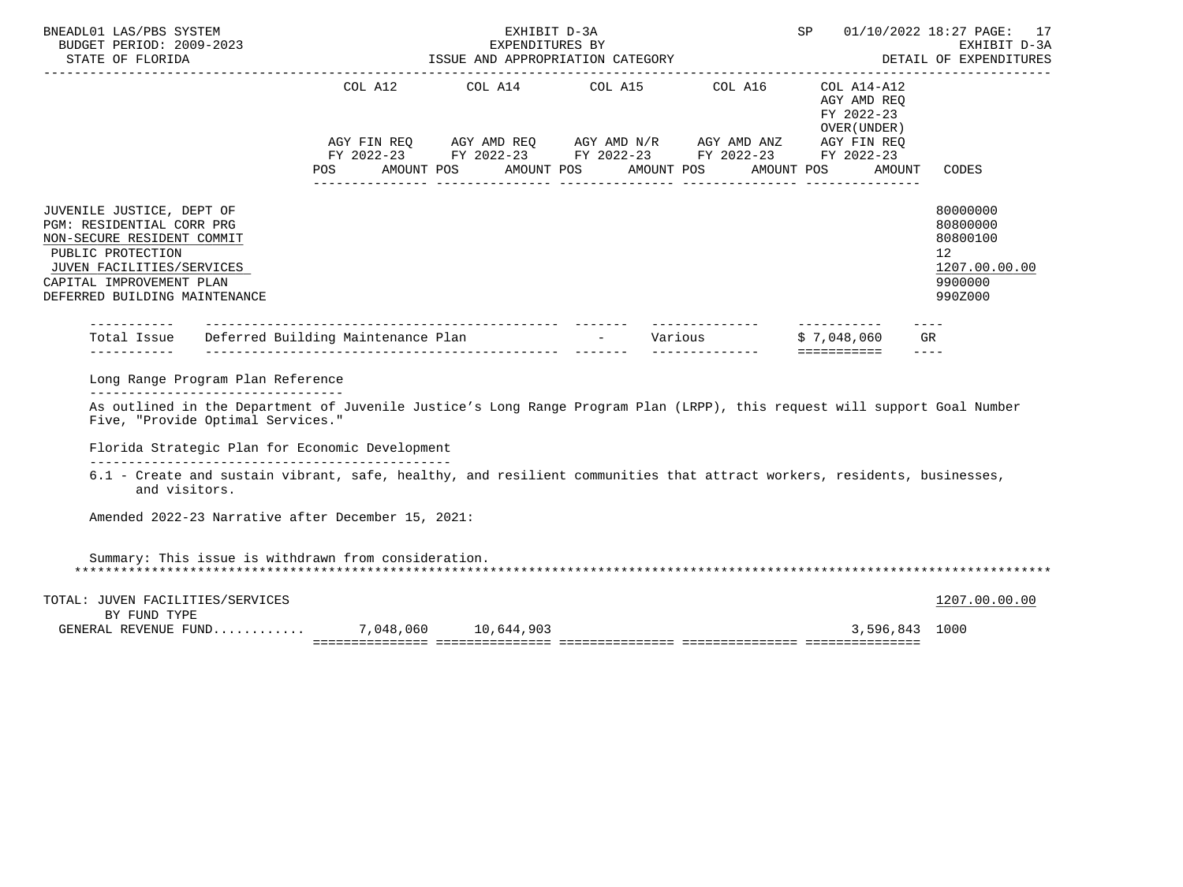| BNEADL01 LAS/PBS SYSTEM<br>BUDGET PERIOD: 2009-2023                                                                                                                                                  |                                                 | EXHIBIT D-3A<br>EXPENDITURES BY |                                                                                                                                                        |                                                     | SP 01/10/2022 18:27 PAGE: 17<br>EXHIBIT D-3A                                  |
|------------------------------------------------------------------------------------------------------------------------------------------------------------------------------------------------------|-------------------------------------------------|---------------------------------|--------------------------------------------------------------------------------------------------------------------------------------------------------|-----------------------------------------------------|-------------------------------------------------------------------------------|
|                                                                                                                                                                                                      | POS AMOUNT POS AMOUNT POS AMOUNT POS AMOUNT POS |                                 | COL A12 COL A14 COL A15 COL A16 COL A14-A12<br>AGY FIN REQ AGY AMD REQ AGY AMD N/R AGY AMD ANZ AGY FIN REQ FIN REQ AGY AMD N/R AGY AMD ANZ AGY FIN REQ | AGY AMD REO<br>FY 2022-23<br>OVER (UNDER)<br>AMOUNT | CODES                                                                         |
| JUVENILE JUSTICE, DEPT OF<br>PGM: RESIDENTIAL CORR PRG<br>NON-SECURE RESIDENT COMMIT<br>PUBLIC PROTECTION<br>JUVEN FACILITIES/SERVICES<br>CAPITAL IMPROVEMENT PLAN<br>DEFERRED BUILDING MAINTENANCE  |                                                 |                                 |                                                                                                                                                        |                                                     | 80000000<br>80800000<br>80800100<br>12<br>1207.00.00.00<br>9900000<br>990Z000 |
|                                                                                                                                                                                                      |                                                 |                                 |                                                                                                                                                        |                                                     |                                                                               |
| Long Range Program Plan Reference                                                                                                                                                                    |                                                 |                                 |                                                                                                                                                        |                                                     |                                                                               |
| ----------------------------------<br>As outlined in the Department of Juvenile Justice's Long Range Program Plan (LRPP), this request will support Goal Number<br>Five, "Provide Optimal Services." |                                                 |                                 |                                                                                                                                                        |                                                     |                                                                               |
| Florida Strategic Plan for Economic Development                                                                                                                                                      |                                                 |                                 |                                                                                                                                                        |                                                     |                                                                               |
| 6.1 - Create and sustain vibrant, safe, healthy, and resilient communities that attract workers, residents, businesses,<br>and visitors.                                                             |                                                 |                                 |                                                                                                                                                        |                                                     |                                                                               |
| Amended 2022-23 Narrative after December 15, 2021:                                                                                                                                                   |                                                 |                                 |                                                                                                                                                        |                                                     |                                                                               |
| Summary: This issue is withdrawn from consideration.                                                                                                                                                 |                                                 |                                 |                                                                                                                                                        |                                                     |                                                                               |
| TOTAL: JUVEN FACILITIES/SERVICES                                                                                                                                                                     |                                                 |                                 |                                                                                                                                                        |                                                     | 1207.00.00.00                                                                 |
| BY FUND TYPE<br>GENERAL REVENUE FUND 7,048,060 10,644,903                                                                                                                                            |                                                 |                                 |                                                                                                                                                        | 3,596,843 1000                                      |                                                                               |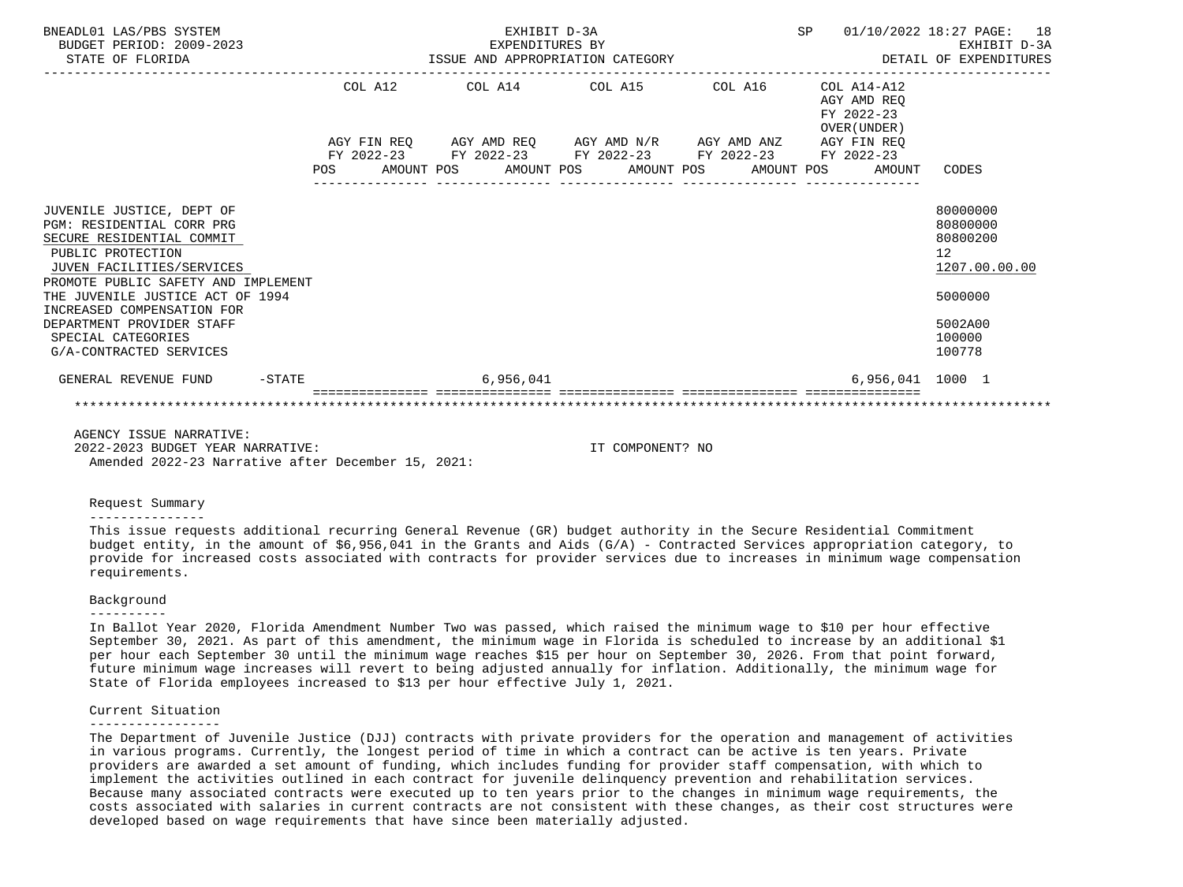| BNEADL01 LAS/PBS SYSTEM<br>BUDGET PERIOD: 2009-2023<br>STATE OF FLORIDA                                                                                                                                                                                                                                                      |  | EXHIBIT D-3A | SP 01/10/2022 18:27 PAGE: 18                                                                                                                                             |  |                                           |                                                                                                                |
|------------------------------------------------------------------------------------------------------------------------------------------------------------------------------------------------------------------------------------------------------------------------------------------------------------------------------|--|--------------|--------------------------------------------------------------------------------------------------------------------------------------------------------------------------|--|-------------------------------------------|----------------------------------------------------------------------------------------------------------------|
|                                                                                                                                                                                                                                                                                                                              |  |              | $COL A12$ $COL A14$ $COL A15$ $COL A16$ $COL A14-A12$                                                                                                                    |  | AGY AMD REO<br>FY 2022-23<br>OVER (UNDER) |                                                                                                                |
|                                                                                                                                                                                                                                                                                                                              |  |              | AGY FIN REQ AGY AMD REQ AGY AMD N/R AGY AMD ANZ AGY FIN REQ<br>FY 2022-23 FY 2022-23 FY 2022-23 FY 2022-23 FY 2022-23<br>POS AMOUNT POS AMOUNT POS AMOUNT POS AMOUNT POS |  | AMOUNT                                    | CODES                                                                                                          |
| JUVENILE JUSTICE, DEPT OF<br>PGM: RESIDENTIAL CORR PRG<br>SECURE RESIDENTIAL COMMIT<br>PUBLIC PROTECTION<br>JUVEN FACILITIES/SERVICES<br>PROMOTE PUBLIC SAFETY AND IMPLEMENT<br>THE JUVENILE JUSTICE ACT OF 1994<br>INCREASED COMPENSATION FOR<br>DEPARTMENT PROVIDER STAFF<br>SPECIAL CATEGORIES<br>G/A-CONTRACTED SERVICES |  |              |                                                                                                                                                                          |  |                                           | 80000000<br>80800000<br>80800200<br>12 <sup>°</sup><br>1207.00.00.00<br>5000000<br>5002A00<br>100000<br>100778 |
| GENERAL REVENUE FUND -STATE                                                                                                                                                                                                                                                                                                  |  | 6,956,041    |                                                                                                                                                                          |  | 6,956,041 1000 1                          |                                                                                                                |
|                                                                                                                                                                                                                                                                                                                              |  |              |                                                                                                                                                                          |  |                                           |                                                                                                                |
| AGENCY ISSUE NARRATIVE:                                                                                                                                                                                                                                                                                                      |  |              |                                                                                                                                                                          |  |                                           |                                                                                                                |

 2022-2023 BUDGET YEAR NARRATIVE: IT COMPONENT? NO Amended 2022-23 Narrative after December 15, 2021:

#### Request Summary

#### ---------------

 This issue requests additional recurring General Revenue (GR) budget authority in the Secure Residential Commitment budget entity, in the amount of \$6,956,041 in the Grants and Aids (G/A) - Contracted Services appropriation category, to provide for increased costs associated with contracts for provider services due to increases in minimum wage compensation requirements.

#### Background

#### ----------

 In Ballot Year 2020, Florida Amendment Number Two was passed, which raised the minimum wage to \$10 per hour effective September 30, 2021. As part of this amendment, the minimum wage in Florida is scheduled to increase by an additional \$1 per hour each September 30 until the minimum wage reaches \$15 per hour on September 30, 2026. From that point forward, future minimum wage increases will revert to being adjusted annually for inflation. Additionally, the minimum wage for State of Florida employees increased to \$13 per hour effective July 1, 2021.

## Current Situation

#### -----------------

 The Department of Juvenile Justice (DJJ) contracts with private providers for the operation and management of activities in various programs. Currently, the longest period of time in which a contract can be active is ten years. Private providers are awarded a set amount of funding, which includes funding for provider staff compensation, with which to implement the activities outlined in each contract for juvenile delinquency prevention and rehabilitation services. Because many associated contracts were executed up to ten years prior to the changes in minimum wage requirements, the costs associated with salaries in current contracts are not consistent with these changes, as their cost structures were developed based on wage requirements that have since been materially adjusted.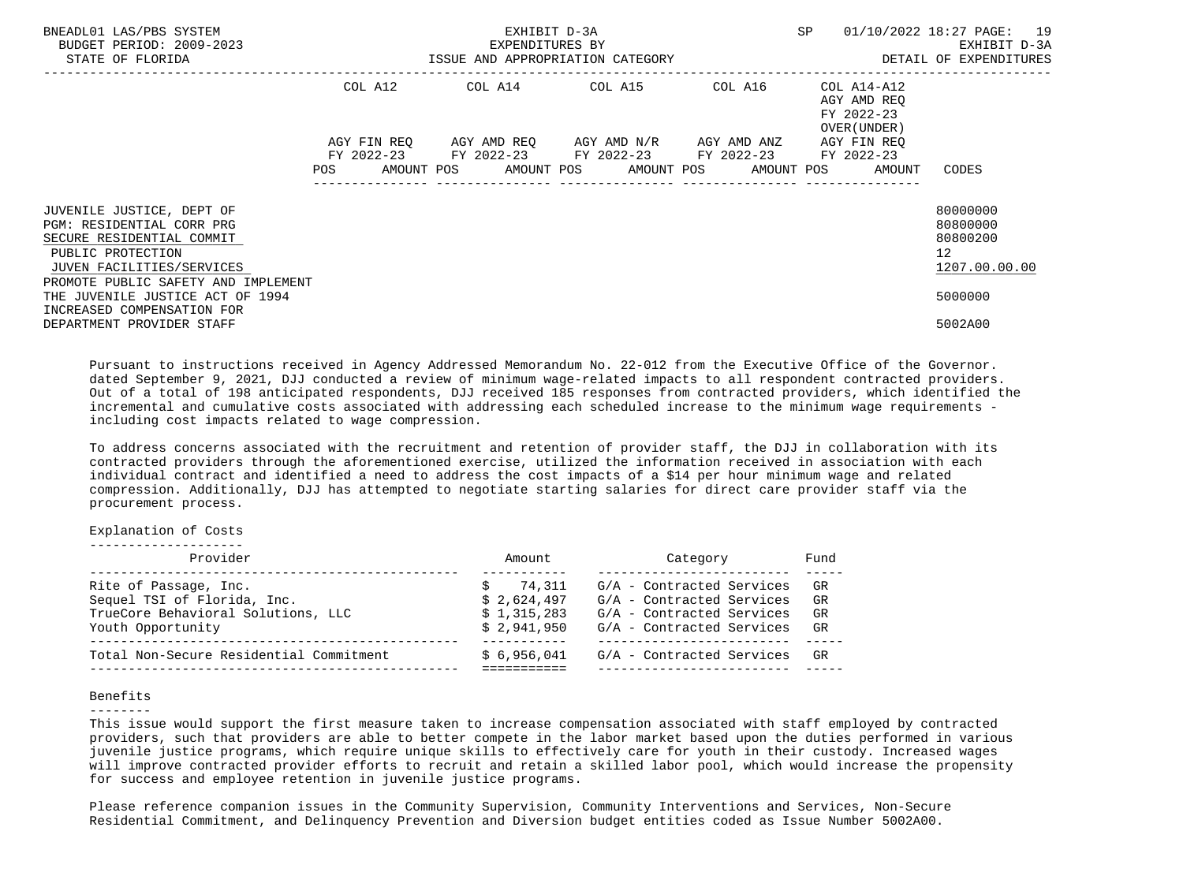| BNEADL01 LAS/PBS SYSTEM<br>BUDGET PERIOD: 2009-2023<br>STATE OF FLORIDA                                                                                                      |                           | EXHIBIT D-3A<br>EXPENDITURES BY<br>ISSUE AND APPROPRIATION CATEGORY | SP 01/10/2022 18:27 PAGE: 19                                                                  | EXHIBIT D-3A<br>DETAIL OF EXPENDITURES |                                                                   |                                                                      |
|------------------------------------------------------------------------------------------------------------------------------------------------------------------------------|---------------------------|---------------------------------------------------------------------|-----------------------------------------------------------------------------------------------|----------------------------------------|-------------------------------------------------------------------|----------------------------------------------------------------------|
|                                                                                                                                                                              | COL A12                   |                                                                     |                                                                                               |                                        | AGY AMD REO<br>FY 2022-23<br>OVER (UNDER)                         |                                                                      |
|                                                                                                                                                                              | AGY FIN REO<br><b>POS</b> |                                                                     | AGY AMD REO AGY AMD N/R AGY AMD ANZ<br>FY 2022-23 FY 2022-23 FY 2022-23 FY 2022-23 FY 2022-23 |                                        | AGY FIN REO<br>AMOUNT POS AMOUNT POS AMOUNT POS AMOUNT POS AMOUNT | CODES                                                                |
| JUVENILE JUSTICE, DEPT OF<br>PGM: RESIDENTIAL CORR PRG<br>SECURE RESIDENTIAL COMMIT<br>PUBLIC PROTECTION<br>JUVEN FACILITIES/SERVICES<br>PROMOTE PUBLIC SAFETY AND IMPLEMENT |                           |                                                                     |                                                                                               |                                        |                                                                   | 80000000<br>80800000<br>80800200<br>12 <sup>7</sup><br>1207.00.00.00 |
| THE JUVENILE JUSTICE ACT OF 1994<br>INCREASED COMPENSATION FOR<br>DEPARTMENT PROVIDER STAFF                                                                                  |                           |                                                                     |                                                                                               |                                        |                                                                   | 5000000<br>5002A00                                                   |

 Pursuant to instructions received in Agency Addressed Memorandum No. 22-012 from the Executive Office of the Governor. dated September 9, 2021, DJJ conducted a review of minimum wage-related impacts to all respondent contracted providers. Out of a total of 198 anticipated respondents, DJJ received 185 responses from contracted providers, which identified the incremental and cumulative costs associated with addressing each scheduled increase to the minimum wage requirements including cost impacts related to wage compression.

 To address concerns associated with the recruitment and retention of provider staff, the DJJ in collaboration with its contracted providers through the aforementioned exercise, utilized the information received in association with each individual contract and identified a need to address the cost impacts of a \$14 per hour minimum wage and related compression. Additionally, DJJ has attempted to negotiate starting salaries for direct care provider staff via the procurement process.

Explanation of Costs

|  |  |  |  | -------------------- |  |  |  |  |  |  |
|--|--|--|--|----------------------|--|--|--|--|--|--|
|  |  |  |  |                      |  |  |  |  |  |  |

| Provider                                                                                                        | Amount                                              | Category                                                                                                         | Fund                 |
|-----------------------------------------------------------------------------------------------------------------|-----------------------------------------------------|------------------------------------------------------------------------------------------------------------------|----------------------|
| Rite of Passage, Inc.<br>Sequel TSI of Florida, Inc.<br>TrueCore Behavioral Solutions, LLC<br>Youth Opportunity | 74.311<br>\$2,624,497<br>\$1,315,283<br>\$2.941.950 | G/A - Contracted Services<br>G/A - Contracted Services<br>G/A - Contracted Services<br>G/A - Contracted Services | GR<br>GR<br>GR<br>GR |
| Total Non-Secure Residential Commitment                                                                         | \$6.956.041                                         | G/A - Contracted Services                                                                                        | GR                   |

# Benefits

--------

 This issue would support the first measure taken to increase compensation associated with staff employed by contracted providers, such that providers are able to better compete in the labor market based upon the duties performed in various juvenile justice programs, which require unique skills to effectively care for youth in their custody. Increased wages will improve contracted provider efforts to recruit and retain a skilled labor pool, which would increase the propensity for success and employee retention in juvenile justice programs.

 Please reference companion issues in the Community Supervision, Community Interventions and Services, Non-Secure Residential Commitment, and Delinquency Prevention and Diversion budget entities coded as Issue Number 5002A00.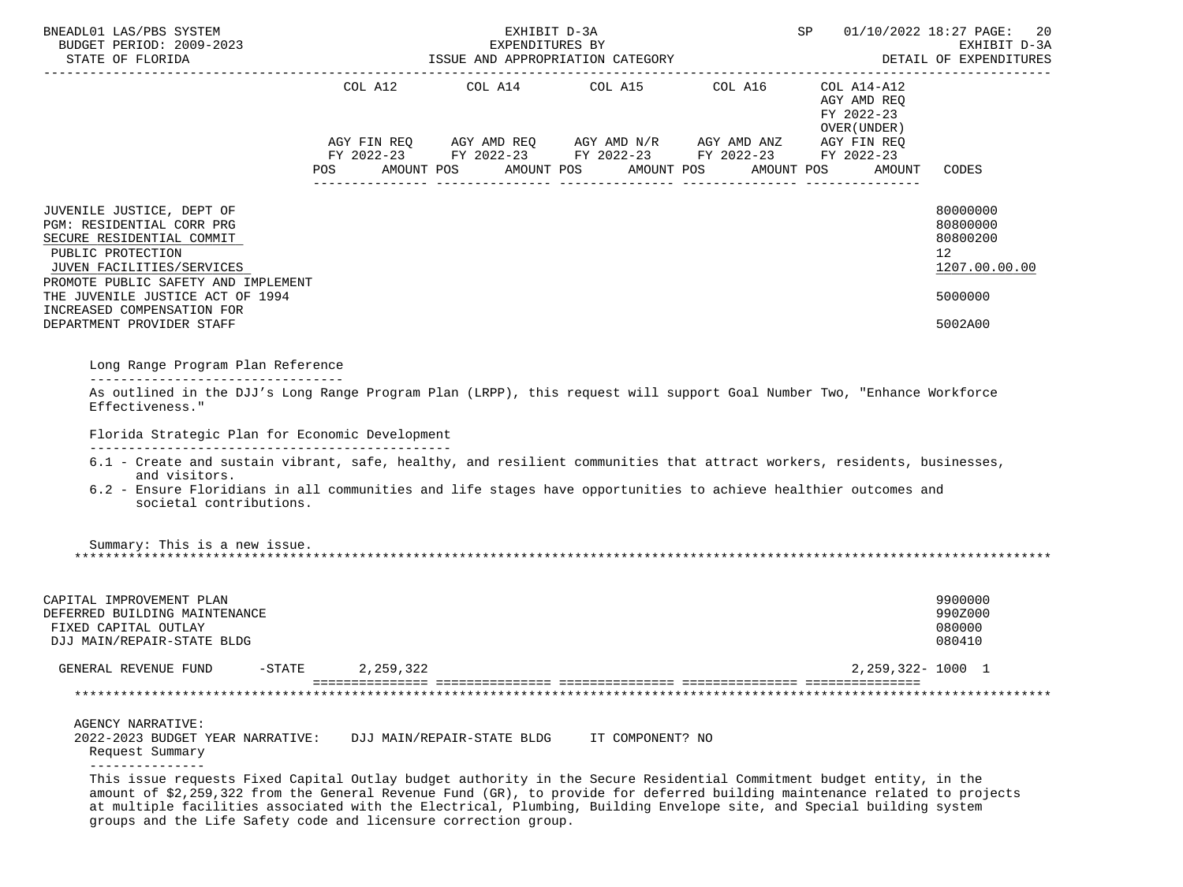| BNEADL01 LAS/PBS SYSTEM<br>BUDGET PERIOD: 2009-2023                                                                                                                                                                                                                                                                                                                                           |            | EXHIBIT D-3A<br>EXPENDITURES BY               |                  |                                                                                                                                                   | SP                                                                  | 01/10/2022 18:27 PAGE:<br>-20<br>EXHIBIT D-3A                                 |
|-----------------------------------------------------------------------------------------------------------------------------------------------------------------------------------------------------------------------------------------------------------------------------------------------------------------------------------------------------------------------------------------------|------------|-----------------------------------------------|------------------|---------------------------------------------------------------------------------------------------------------------------------------------------|---------------------------------------------------------------------|-------------------------------------------------------------------------------|
| STATE OF FLORIDA                                                                                                                                                                                                                                                                                                                                                                              |            | ISSUE AND APPROPRIATION CATEGORY              |                  |                                                                                                                                                   |                                                                     | DETAIL OF EXPENDITURES<br>. <u>.</u>                                          |
|                                                                                                                                                                                                                                                                                                                                                                                               | <b>POS</b> | COL A12 COL A14 COL A15 COL A16<br>AMOUNT POS | AMOUNT POS       | AGY FIN REQ AGY AMD REQ AGY AMD N/R AGY AMD ANZ AGY FIN REQ<br>FY 2022-23 FY 2022-23 FY 2022-23 FY 2022-23 FY 2022-23<br>AMOUNT POS<br>AMOUNT POS | COL A14-A12<br>AGY AMD REO<br>FY 2022-23<br>OVER (UNDER )<br>AMOUNT | CODES                                                                         |
| JUVENILE JUSTICE, DEPT OF<br>PGM: RESIDENTIAL CORR PRG<br>SECURE RESIDENTIAL COMMIT<br>PUBLIC PROTECTION<br>JUVEN FACILITIES/SERVICES<br>PROMOTE PUBLIC SAFETY AND IMPLEMENT<br>THE JUVENILE JUSTICE ACT OF 1994<br>INCREASED COMPENSATION FOR<br>DEPARTMENT PROVIDER STAFF                                                                                                                   |            |                                               |                  |                                                                                                                                                   |                                                                     | 80000000<br>80800000<br>80800200<br>12<br>1207.00.00.00<br>5000000<br>5002A00 |
| Long Range Program Plan Reference                                                                                                                                                                                                                                                                                                                                                             |            |                                               |                  |                                                                                                                                                   |                                                                     |                                                                               |
| Effectiveness."<br>Florida Strategic Plan for Economic Development<br>6.1 - Create and sustain vibrant, safe, healthy, and resilient communities that attract workers, residents, businesses,<br>and visitors.<br>6.2 - Ensure Floridians in all communities and life stages have opportunities to achieve healthier outcomes and<br>societal contributions.                                  |            |                                               |                  |                                                                                                                                                   |                                                                     |                                                                               |
| Summary: This is a new issue.                                                                                                                                                                                                                                                                                                                                                                 |            |                                               |                  |                                                                                                                                                   |                                                                     |                                                                               |
| CAPITAL IMPROVEMENT PLAN<br>DEFERRED BUILDING MAINTENANCE<br>FIXED CAPITAL OUTLAY<br>DJJ MAIN/REPAIR-STATE BLDG                                                                                                                                                                                                                                                                               |            |                                               |                  |                                                                                                                                                   |                                                                     | 9900000<br>990Z000<br>080000<br>080410                                        |
| GENERAL REVENUE FUND<br>$-$ STATE                                                                                                                                                                                                                                                                                                                                                             | 2,259,322  |                                               |                  |                                                                                                                                                   | 2, 259, 322- 1000 1                                                 |                                                                               |
|                                                                                                                                                                                                                                                                                                                                                                                               |            |                                               |                  |                                                                                                                                                   |                                                                     |                                                                               |
| AGENCY NARRATIVE:<br>2022-2023 BUDGET YEAR NARRATIVE:<br>Request Summary                                                                                                                                                                                                                                                                                                                      |            | DJJ MAIN/REPAIR-STATE BLDG                    | IT COMPONENT? NO |                                                                                                                                                   |                                                                     |                                                                               |
| _______________<br>This issue requests Fixed Capital Outlay budget authority in the Secure Residential Commitment budget entity, in the<br>amount of \$2,259,322 from the General Revenue Fund (GR), to provide for deferred building maintenance related to projects<br>at multiple facilities associated with the Electrical, Plumbing, Building Envelope site, and Special building system |            |                                               |                  |                                                                                                                                                   |                                                                     |                                                                               |

groups and the Life Safety code and licensure correction group.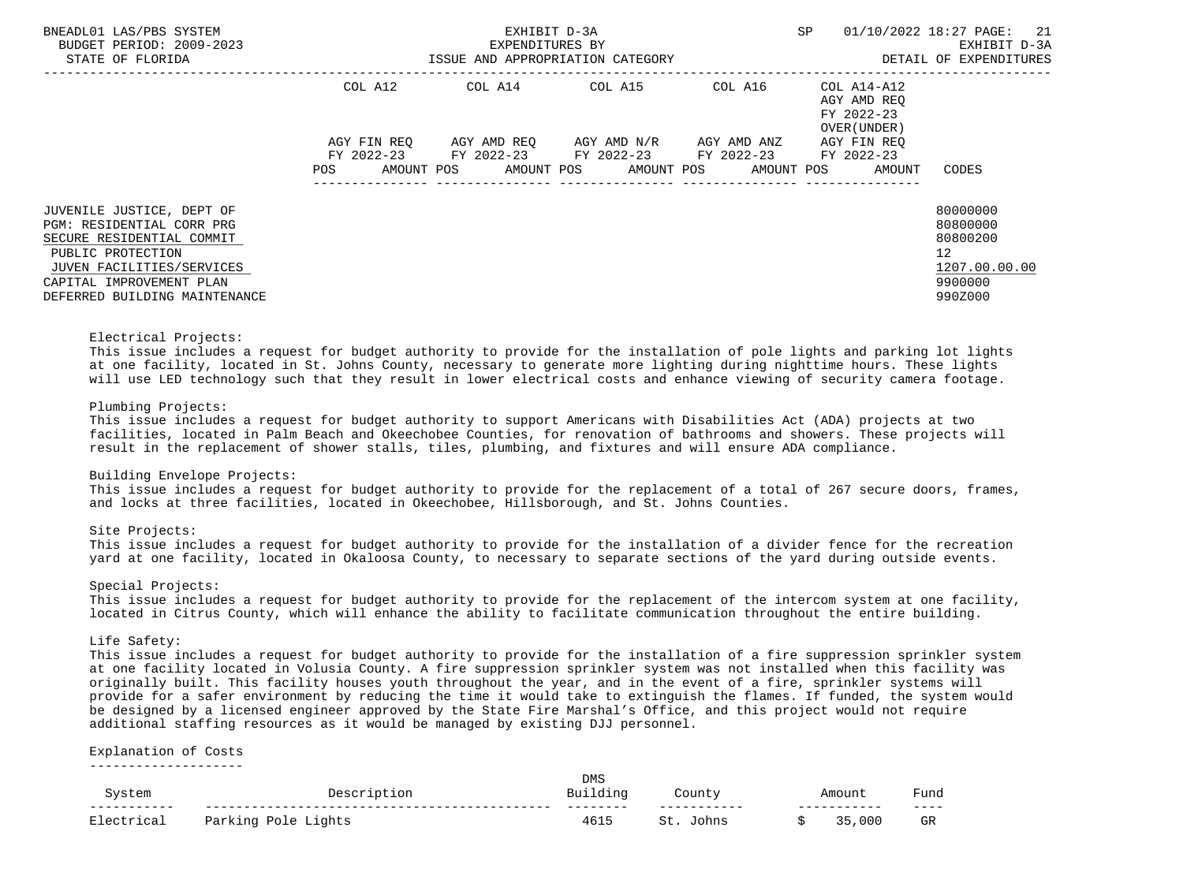| BNEADL01 LAS/PBS SYSTEM<br>BUDGET PERIOD: 2009-2023<br>STATE OF FLORIDA                                                                                                                            | ISSUE AND APPROPRIATION CATEGORY | EXHIBIT D-3A<br>EXPENDITURES BY | <b>SP</b>                                        | 01/10/2022 18:27 PAGE: 21<br>EXHIBIT D-3A<br>DETAIL OF EXPENDITURES |                                                                                 |                                                                                            |
|----------------------------------------------------------------------------------------------------------------------------------------------------------------------------------------------------|----------------------------------|---------------------------------|--------------------------------------------------|---------------------------------------------------------------------|---------------------------------------------------------------------------------|--------------------------------------------------------------------------------------------|
|                                                                                                                                                                                                    | COL A12                          |                                 | COL A14 COL A15                                  | COL A16                                                             | COL A14-A12<br>AGY AMD REO<br>FY 2022-23<br>OVER (UNDER)                        |                                                                                            |
|                                                                                                                                                                                                    | AGY FIN REO<br>FY 2022-23<br>POS |                                 | AGY AMD REO AGY AMD N/R<br>FY 2022-23 FY 2022-23 | AGY AMD ANZ<br>FY 2022-23                                           | AGY FIN REO<br>FY 2022-23<br>AMOUNT POS AMOUNT POS AMOUNT POS AMOUNT POS AMOUNT | CODES                                                                                      |
| JUVENILE JUSTICE, DEPT OF<br>PGM: RESIDENTIAL CORR PRG<br>SECURE RESIDENTIAL COMMIT<br>PUBLIC PROTECTION<br>JUVEN FACILITIES/SERVICES<br>CAPITAL IMPROVEMENT PLAN<br>DEFERRED BUILDING MAINTENANCE |                                  |                                 |                                                  |                                                                     |                                                                                 | 80000000<br>80800000<br>80800200<br>12 <sup>°</sup><br>1207.00.00.00<br>9900000<br>990Z000 |

# Electrical Projects:

 This issue includes a request for budget authority to provide for the installation of pole lights and parking lot lights at one facility, located in St. Johns County, necessary to generate more lighting during nighttime hours. These lights will use LED technology such that they result in lower electrical costs and enhance viewing of security camera footage.

# Plumbing Projects:

 This issue includes a request for budget authority to support Americans with Disabilities Act (ADA) projects at two facilities, located in Palm Beach and Okeechobee Counties, for renovation of bathrooms and showers. These projects will result in the replacement of shower stalls, tiles, plumbing, and fixtures and will ensure ADA compliance.

#### Building Envelope Projects:

 This issue includes a request for budget authority to provide for the replacement of a total of 267 secure doors, frames, and locks at three facilities, located in Okeechobee, Hillsborough, and St. Johns Counties.

## Site Projects:

 This issue includes a request for budget authority to provide for the installation of a divider fence for the recreation yard at one facility, located in Okaloosa County, to necessary to separate sections of the yard during outside events.

# Special Projects:

 This issue includes a request for budget authority to provide for the replacement of the intercom system at one facility, located in Citrus County, which will enhance the ability to facilitate communication throughout the entire building.

#### Life Safety:

 This issue includes a request for budget authority to provide for the installation of a fire suppression sprinkler system at one facility located in Volusia County. A fire suppression sprinkler system was not installed when this facility was originally built. This facility houses youth throughout the year, and in the event of a fire, sprinkler systems will provide for a safer environment by reducing the time it would take to extinguish the flames. If funded, the system would be designed by a licensed engineer approved by the State Fire Marshal's Office, and this project would not require additional staffing resources as it would be managed by existing DJJ personnel.

# Explanation of Costs

--------------------

|                         | า≏⊂∩ท                                                        | <b>DMS</b> | †מוו∩י | mount | Fund      |
|-------------------------|--------------------------------------------------------------|------------|--------|-------|-----------|
| stem<br>$- - -$<br>---- |                                                              | ____       |        | ____  | $- - - -$ |
|                         | Parking<br>D <sub>O</sub> I<br>∵iahts<br>∸ ∪ ⊥ ∪<br><u>.</u> | 4615       |        | 00C   | GR        |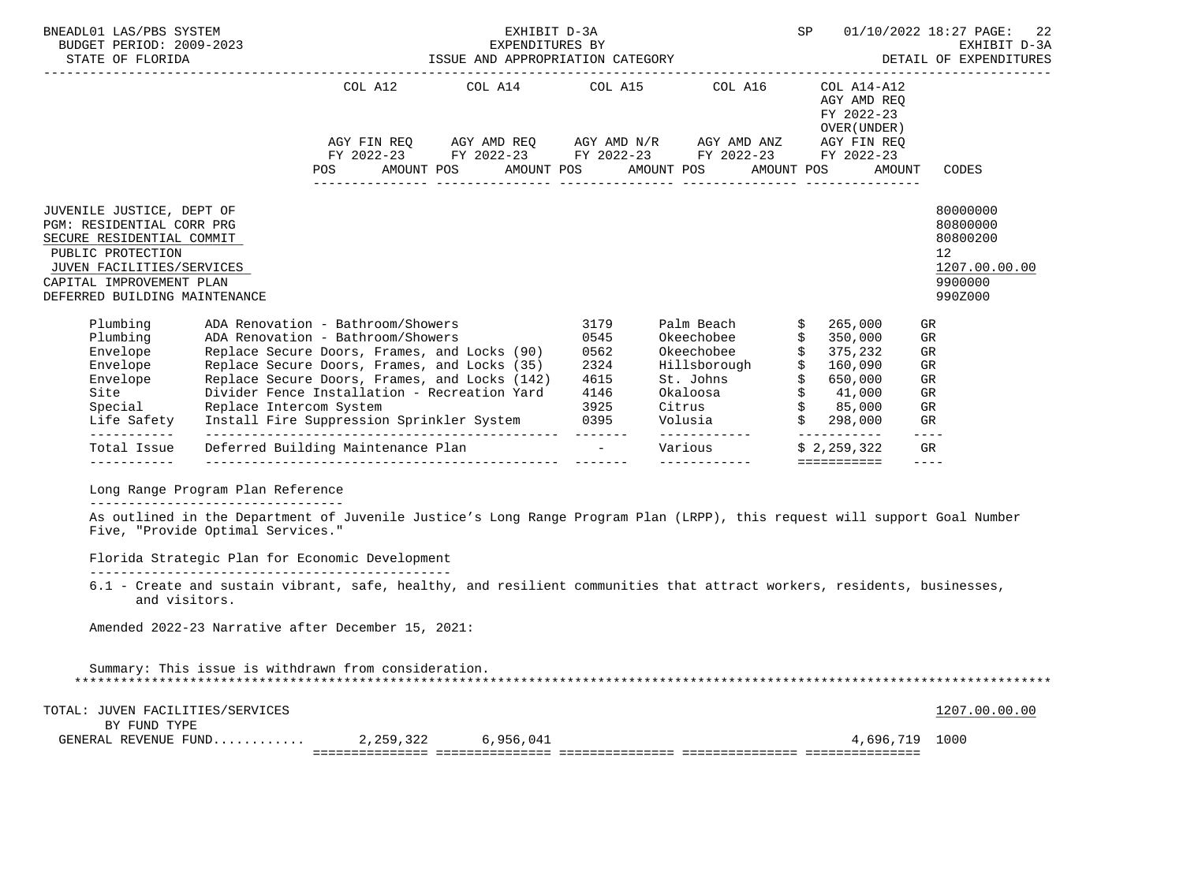| BNEADL01 LAS/PBS SYSTEM<br>BUDGET PERIOD: 2009-2023<br>STATE OF FLORIDA                                                                                                                            |                                                                         |                                                                                                                                                                                                                                                                                                                           | EXHIBIT D-3A                                                                                               |                                                      |                                                                                                                 | SP |                                           |                                                                                                                                                                                                                                                                                                                                                                                                                 | 01/10/2022 18:27 PAGE:<br>-22                                                 |
|----------------------------------------------------------------------------------------------------------------------------------------------------------------------------------------------------|-------------------------------------------------------------------------|---------------------------------------------------------------------------------------------------------------------------------------------------------------------------------------------------------------------------------------------------------------------------------------------------------------------------|------------------------------------------------------------------------------------------------------------|------------------------------------------------------|-----------------------------------------------------------------------------------------------------------------|----|-------------------------------------------|-----------------------------------------------------------------------------------------------------------------------------------------------------------------------------------------------------------------------------------------------------------------------------------------------------------------------------------------------------------------------------------------------------------------|-------------------------------------------------------------------------------|
|                                                                                                                                                                                                    |                                                                         | FY 2022-23 FY 2022-23 FY 2022-23 FY 2022-23 FY 2022-23<br>POS AMOUNT POS AMOUNT POS AMOUNT POS AMOUNT POS                                                                                                                                                                                                                 | COL A12 COL A14 COL A15 COL A16 COL A14-A12<br>AGY FIN REQ AGY AMD REQ AGY AMD N/R AGY AMD ANZ AGY FIN REQ |                                                      |                                                                                                                 |    | AGY AMD REQ<br>FY 2022-23<br>OVER (UNDER) | AMOUNT                                                                                                                                                                                                                                                                                                                                                                                                          | CODES                                                                         |
| JUVENILE JUSTICE, DEPT OF<br>PGM: RESIDENTIAL CORR PRG<br>SECURE RESIDENTIAL COMMIT<br>PUBLIC PROTECTION<br>JUVEN FACILITIES/SERVICES<br>CAPITAL IMPROVEMENT PLAN<br>DEFERRED BUILDING MAINTENANCE |                                                                         |                                                                                                                                                                                                                                                                                                                           |                                                                                                            |                                                      |                                                                                                                 |    |                                           |                                                                                                                                                                                                                                                                                                                                                                                                                 | 80000000<br>80800000<br>80800200<br>12<br>1207.00.00.00<br>9900000<br>990Z000 |
| Plumbing<br>Plumbing<br>Envelope<br>Envelope<br>Envelope<br>Site<br>Special<br>Life Safety                                                                                                         | Replace Intercom System                                                 | ADA Renovation - Bathroom/Showers<br>ADA Renovation - Bathroom/Showers<br>Replace Secure Doors, Frames, and Locks (90)<br>Replace Secure Doors, Frames, and Locks (35)<br>Replace Secure Doors, Frames, and Locks (142)<br>Divider Fence Installation - Recreation Yard<br>Install Fire Suppression Sprinkler System 0395 |                                                                                                            | 3179<br>0545<br>0562<br>2324<br>4615<br>4146<br>3925 | Palm Beach<br>Okeechobee \$ 350,000<br>Okeechobee \$ 375,232<br>Hillsborough \$ 160,090<br>St. Johns \$ 650,000 |    | \$265,000                                 | GR<br>GR<br>GR<br>GR<br>GR<br>GR<br>GR<br>GR                                                                                                                                                                                                                                                                                                                                                                    |                                                                               |
| ------------<br>Total Issue<br>------------                                                                                                                                                        |                                                                         | Deferred Building Maintenance Plan                                                                                                                                                                                                                                                                                        |                                                                                                            |                                                      | - Various \$ 2,259,322                                                                                          |    | <b>Edded Benedict</b>                     | $- - - -$<br>GR<br>$\frac{1}{2} \frac{1}{2} \frac{1}{2} \frac{1}{2} \frac{1}{2} \frac{1}{2} \frac{1}{2} \frac{1}{2} \frac{1}{2} \frac{1}{2} \frac{1}{2} \frac{1}{2} \frac{1}{2} \frac{1}{2} \frac{1}{2} \frac{1}{2} \frac{1}{2} \frac{1}{2} \frac{1}{2} \frac{1}{2} \frac{1}{2} \frac{1}{2} \frac{1}{2} \frac{1}{2} \frac{1}{2} \frac{1}{2} \frac{1}{2} \frac{1}{2} \frac{1}{2} \frac{1}{2} \frac{1}{2} \frac{$ |                                                                               |
|                                                                                                                                                                                                    | Long Range Program Plan Reference<br>---------------------------------- |                                                                                                                                                                                                                                                                                                                           |                                                                                                            |                                                      |                                                                                                                 |    |                                           |                                                                                                                                                                                                                                                                                                                                                                                                                 |                                                                               |
|                                                                                                                                                                                                    | Five, "Provide Optimal Services."                                       | As outlined in the Department of Juvenile Justice's Long Range Program Plan (LRPP), this request will support Goal Number<br>Florida Strategic Plan for Economic Development                                                                                                                                              |                                                                                                            |                                                      |                                                                                                                 |    |                                           |                                                                                                                                                                                                                                                                                                                                                                                                                 |                                                                               |
| and visitors.                                                                                                                                                                                      |                                                                         | 6.1 - Create and sustain vibrant, safe, healthy, and resilient communities that attract workers, residents, businesses,<br>Amended 2022-23 Narrative after December 15, 2021:                                                                                                                                             |                                                                                                            |                                                      |                                                                                                                 |    |                                           |                                                                                                                                                                                                                                                                                                                                                                                                                 |                                                                               |
|                                                                                                                                                                                                    |                                                                         | Summary: This issue is withdrawn from consideration.                                                                                                                                                                                                                                                                      |                                                                                                            |                                                      |                                                                                                                 |    |                                           |                                                                                                                                                                                                                                                                                                                                                                                                                 |                                                                               |
| TOTAL: JUVEN FACILITIES/SERVICES                                                                                                                                                                   |                                                                         |                                                                                                                                                                                                                                                                                                                           |                                                                                                            |                                                      |                                                                                                                 |    |                                           |                                                                                                                                                                                                                                                                                                                                                                                                                 | 1207.00.00.00                                                                 |
| BY FUND TYPE<br>GENERAL REVENUE FUND                                                                                                                                                               |                                                                         |                                                                                                                                                                                                                                                                                                                           | 2,259,322 6,956,041                                                                                        |                                                      |                                                                                                                 |    |                                           | 4,696,719 1000                                                                                                                                                                                                                                                                                                                                                                                                  |                                                                               |
|                                                                                                                                                                                                    |                                                                         |                                                                                                                                                                                                                                                                                                                           |                                                                                                            |                                                      |                                                                                                                 |    |                                           |                                                                                                                                                                                                                                                                                                                                                                                                                 |                                                                               |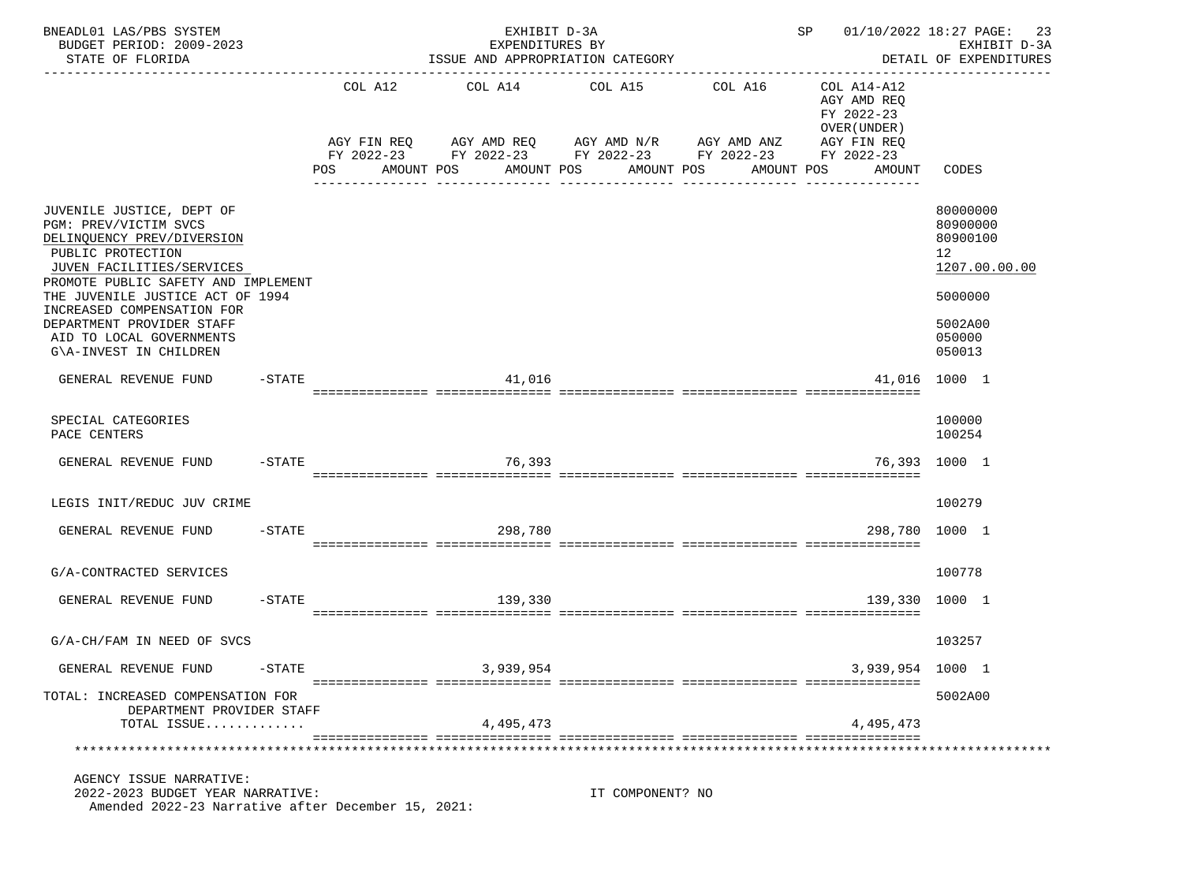| BNEADL01 LAS/PBS SYSTEM<br>BUDGET PERIOD: 2009-2023<br>STATE OF FLORIDA                                                                                                                                                                                                                                                        |           |                                     | EXHIBIT D-3A<br>EXPENDITURES BY<br>ISSUE AND APPROPRIATION CATEGORY                                                  |                                                        |                                                           | SP 01/10/2022 18:27 PAGE:                                                         | 23<br>EXHIBIT D-3A<br>DETAIL OF EXPENDITURES                                                      |
|--------------------------------------------------------------------------------------------------------------------------------------------------------------------------------------------------------------------------------------------------------------------------------------------------------------------------------|-----------|-------------------------------------|----------------------------------------------------------------------------------------------------------------------|--------------------------------------------------------|-----------------------------------------------------------|-----------------------------------------------------------------------------------|---------------------------------------------------------------------------------------------------|
|                                                                                                                                                                                                                                                                                                                                |           | COL A12<br><b>POS</b><br>AMOUNT POS | COL A14<br>AGY FIN REQ AGY AMD REQ AGY AMD N/R AGY AMD ANZ<br>FY 2022-23 FY 2022-23 FY 2022-23 FY 2022-23 FY 2022-23 | COL A15<br>AMOUNT POS<br>AMOUNT POS<br>--------------- | --------------------------------<br>COL A16<br>AMOUNT POS | COL A14-A12<br>AGY AMD REQ<br>FY 2022-23<br>OVER (UNDER)<br>AGY FIN REQ<br>AMOUNT | CODES                                                                                             |
| JUVENILE JUSTICE, DEPT OF<br>PGM: PREV/VICTIM SVCS<br>DELINQUENCY PREV/DIVERSION<br>PUBLIC PROTECTION<br>JUVEN FACILITIES/SERVICES<br>PROMOTE PUBLIC SAFETY AND IMPLEMENT<br>THE JUVENILE JUSTICE ACT OF 1994<br>INCREASED COMPENSATION FOR<br>DEPARTMENT PROVIDER STAFF<br>AID TO LOCAL GOVERNMENTS<br>G\A-INVEST IN CHILDREN |           |                                     |                                                                                                                      |                                                        |                                                           |                                                                                   | 80000000<br>80900000<br>80900100<br>12<br>1207.00.00.00<br>5000000<br>5002A00<br>050000<br>050013 |
| GENERAL REVENUE FUND                                                                                                                                                                                                                                                                                                           | $-$ STATE |                                     | 41,016                                                                                                               |                                                        |                                                           |                                                                                   | 41,016 1000 1                                                                                     |
| SPECIAL CATEGORIES<br>PACE CENTERS                                                                                                                                                                                                                                                                                             |           |                                     |                                                                                                                      |                                                        |                                                           |                                                                                   | 100000<br>100254                                                                                  |
| GENERAL REVENUE FUND                                                                                                                                                                                                                                                                                                           | $-$ STATE |                                     | 76,393                                                                                                               |                                                        |                                                           |                                                                                   | 76,393 1000 1                                                                                     |
| LEGIS INIT/REDUC JUV CRIME                                                                                                                                                                                                                                                                                                     |           |                                     |                                                                                                                      |                                                        |                                                           |                                                                                   | 100279                                                                                            |
| GENERAL REVENUE FUND                                                                                                                                                                                                                                                                                                           | $-$ STATE |                                     | 298,780                                                                                                              |                                                        |                                                           |                                                                                   | 298,780 1000 1                                                                                    |
| G/A-CONTRACTED SERVICES                                                                                                                                                                                                                                                                                                        |           |                                     |                                                                                                                      |                                                        |                                                           |                                                                                   | 100778                                                                                            |
| GENERAL REVENUE FUND                                                                                                                                                                                                                                                                                                           | $-$ STATE |                                     | 139,330                                                                                                              |                                                        |                                                           | 139,330 1000 1                                                                    |                                                                                                   |
| G/A-CH/FAM IN NEED OF SVCS                                                                                                                                                                                                                                                                                                     |           |                                     |                                                                                                                      |                                                        |                                                           |                                                                                   | 103257                                                                                            |
| GENERAL REVENUE FUND                                                                                                                                                                                                                                                                                                           | $-STATE$  |                                     | 3,939,954                                                                                                            |                                                        |                                                           | 3,939,954                                                                         | 1000 1                                                                                            |
| TOTAL: INCREASED COMPENSATION FOR<br>DEPARTMENT PROVIDER STAFF<br>TOTAL ISSUE                                                                                                                                                                                                                                                  |           |                                     | 4,495,473                                                                                                            |                                                        |                                                           | 4, 495, 473                                                                       | 5002A00                                                                                           |
|                                                                                                                                                                                                                                                                                                                                |           |                                     |                                                                                                                      |                                                        |                                                           |                                                                                   |                                                                                                   |
| AGENCY ISSUE NARRATIVE:<br>2022-2023 BUDGET YEAR NARRATIVE:<br>Amended 2022-23 Narrative after December 15, 2021:                                                                                                                                                                                                              |           |                                     |                                                                                                                      | IT COMPONENT? NO                                       |                                                           |                                                                                   |                                                                                                   |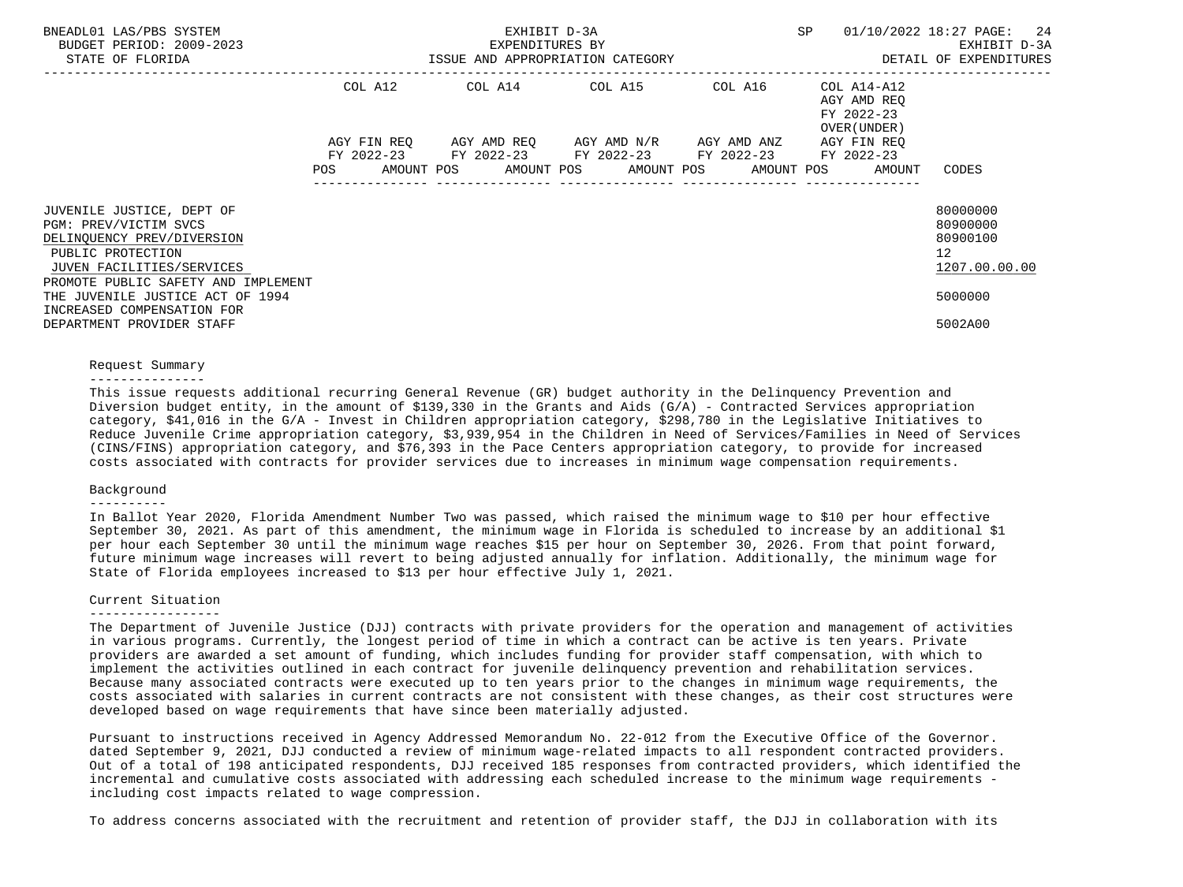| BNEADL01 LAS/PBS SYSTEM<br>BUDGET PERIOD: 2009-2023<br>STATE OF FLORIDA                               | ISSUE AND APPROPRIATION CATEGORY | 01/10/2022 18:27 PAGE:<br>SP | 24<br>EXHIBIT D-3A<br>DETAIL OF EXPENDITURES |                           |                                                          |                                                     |
|-------------------------------------------------------------------------------------------------------|----------------------------------|------------------------------|----------------------------------------------|---------------------------|----------------------------------------------------------|-----------------------------------------------------|
|                                                                                                       | COL A12                          |                              | COL A14 COL A15                              | COL A16                   | COL A14-A12<br>AGY AMD REO<br>FY 2022-23<br>OVER (UNDER) |                                                     |
|                                                                                                       | AGY FIN REO<br>FY 2022-23        | AGY AMD REO                  | AGY AMD N/R<br>FY 2022-23 FY 2022-23         | AGY AMD ANZ<br>FY 2022-23 | AGY FIN REO<br>FY 2022-23                                |                                                     |
|                                                                                                       | AMOUNT POS<br>POS                |                              | AMOUNT POS AMOUNT POS                        | AMOUNT POS                | AMOUNT                                                   | CODES                                               |
| JUVENILE JUSTICE, DEPT OF<br>PGM: PREV/VICTIM SVCS<br>DELINOUENCY PREV/DIVERSION<br>PUBLIC PROTECTION |                                  |                              |                                              |                           |                                                          | 80000000<br>80900000<br>80900100<br>12 <sup>°</sup> |
| JUVEN FACILITIES/SERVICES<br>PROMOTE PUBLIC SAFETY AND IMPLEMENT<br>THE JUVENILE JUSTICE ACT OF 1994  |                                  |                              |                                              |                           |                                                          | 1207.00.00.00<br>5000000                            |
| INCREASED COMPENSATION FOR<br>DEPARTMENT PROVIDER STAFF                                               |                                  |                              |                                              |                           |                                                          | 5002A00                                             |

#### Request Summary

# ---------------

 This issue requests additional recurring General Revenue (GR) budget authority in the Delinquency Prevention and Diversion budget entity, in the amount of \$139,330 in the Grants and Aids (G/A) - Contracted Services appropriation category, \$41,016 in the G/A - Invest in Children appropriation category, \$298,780 in the Legislative Initiatives to Reduce Juvenile Crime appropriation category, \$3,939,954 in the Children in Need of Services/Families in Need of Services (CINS/FINS) appropriation category, and \$76,393 in the Pace Centers appropriation category, to provide for increased costs associated with contracts for provider services due to increases in minimum wage compensation requirements.

#### Background

#### ----------

 In Ballot Year 2020, Florida Amendment Number Two was passed, which raised the minimum wage to \$10 per hour effective September 30, 2021. As part of this amendment, the minimum wage in Florida is scheduled to increase by an additional \$1 per hour each September 30 until the minimum wage reaches \$15 per hour on September 30, 2026. From that point forward, future minimum wage increases will revert to being adjusted annually for inflation. Additionally, the minimum wage for State of Florida employees increased to \$13 per hour effective July 1, 2021.

# Current Situation

# -----------------

 The Department of Juvenile Justice (DJJ) contracts with private providers for the operation and management of activities in various programs. Currently, the longest period of time in which a contract can be active is ten years. Private providers are awarded a set amount of funding, which includes funding for provider staff compensation, with which to implement the activities outlined in each contract for juvenile delinquency prevention and rehabilitation services. Because many associated contracts were executed up to ten years prior to the changes in minimum wage requirements, the costs associated with salaries in current contracts are not consistent with these changes, as their cost structures were developed based on wage requirements that have since been materially adjusted.

 Pursuant to instructions received in Agency Addressed Memorandum No. 22-012 from the Executive Office of the Governor. dated September 9, 2021, DJJ conducted a review of minimum wage-related impacts to all respondent contracted providers. Out of a total of 198 anticipated respondents, DJJ received 185 responses from contracted providers, which identified the incremental and cumulative costs associated with addressing each scheduled increase to the minimum wage requirements including cost impacts related to wage compression.

To address concerns associated with the recruitment and retention of provider staff, the DJJ in collaboration with its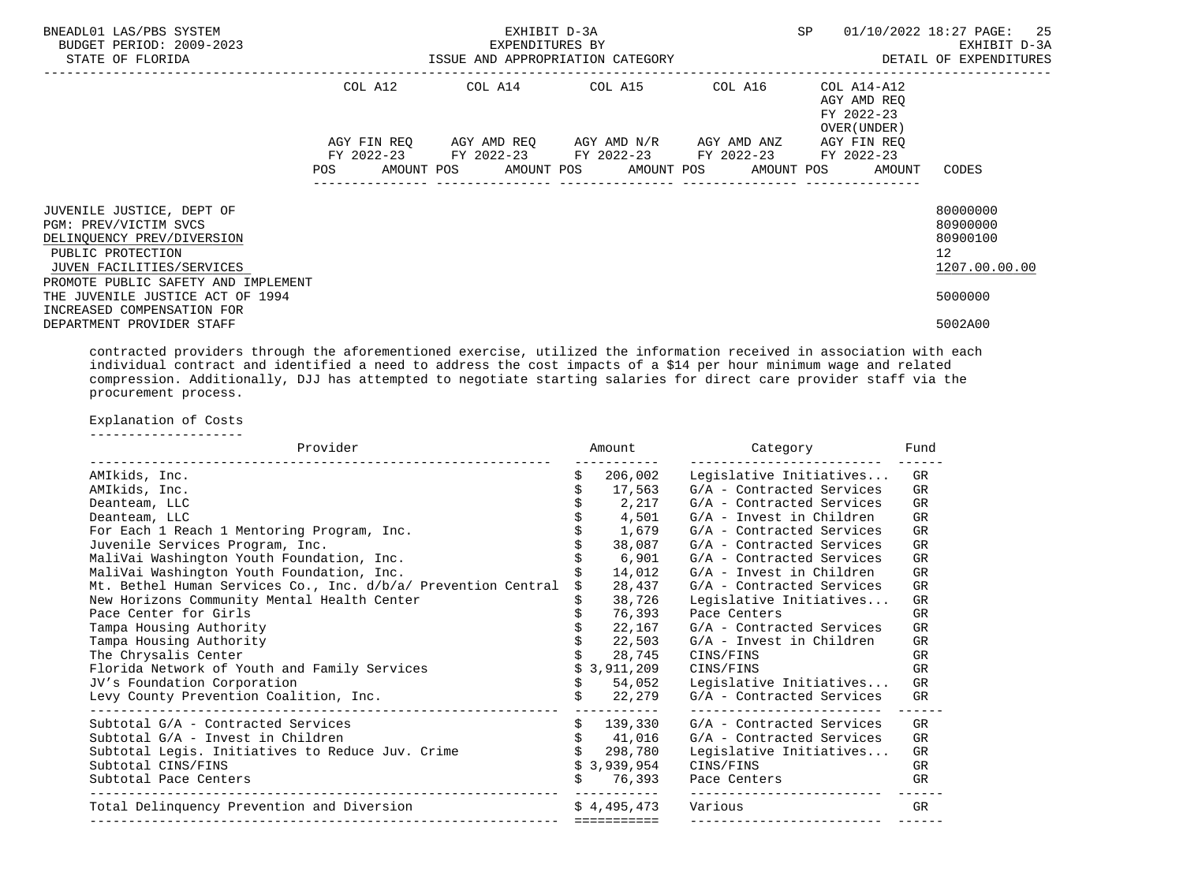| BNEADL01 LAS/PBS SYSTEM<br>BUDGET PERIOD: 2009-2023<br>STATE OF FLORIDA                                                                                                                                                                                                                                                                                         |         | EXHIBIT D-3A<br>EXPENDITURES BY<br>ISSUE AND APPROPRIATION CATEGORY |         | SP                                                               | 01/10/2022 18:27 PAGE: 25<br>EXHIBIT D-3A<br>DETAIL OF EXPENDITURES  |
|-----------------------------------------------------------------------------------------------------------------------------------------------------------------------------------------------------------------------------------------------------------------------------------------------------------------------------------------------------------------|---------|---------------------------------------------------------------------|---------|------------------------------------------------------------------|----------------------------------------------------------------------|
|                                                                                                                                                                                                                                                                                                                                                                 | COL A12 | COL A14 COL A15                                                     | COL A16 | COL A14-A12<br>AGY AMD REO<br>FY 2022-23<br>OVER (UNDER)         |                                                                      |
|                                                                                                                                                                                                                                                                                                                                                                 |         | AGY FIN REQ AGY AMD REQ AGY AMD N/R AGY AMD ANZ AGY FIN REQ         |         |                                                                  |                                                                      |
|                                                                                                                                                                                                                                                                                                                                                                 |         | FY 2022-23 FY 2022-23 FY 2022-23 FY 2022-23                         |         | FY 2022-23<br>AMOUNT POS AMOUNT POS AMOUNT POS AMOUNT POS AMOUNT | CODES                                                                |
| JUVENILE JUSTICE, DEPT OF<br>PGM: PREV/VICTIM SVCS<br>DELINQUENCY PREV/DIVERSION<br>PUBLIC PROTECTION<br>JUVEN FACILITIES/SERVICES<br>PROMOTE PUBLIC SAFETY AND IMPLEMENT                                                                                                                                                                                       |         |                                                                     |         |                                                                  | 80000000<br>80900000<br>80900100<br>12 <sup>°</sup><br>1207.00.00.00 |
| THE JUVENILE JUSTICE ACT OF 1994                                                                                                                                                                                                                                                                                                                                |         |                                                                     |         |                                                                  | 5000000                                                              |
| INCREASED COMPENSATION FOR<br>DEPARTMENT PROVIDER STAFF                                                                                                                                                                                                                                                                                                         |         |                                                                     |         |                                                                  | 5002A00                                                              |
| contracted providers through the aforementioned exercise, utilized the information received in association with each<br>individual contract and identified a need to address the cost impacts of a \$14 per hour minimum wage and related<br>compression. Additionally, DJJ has attempted to negotiate starting salaries for direct care provider staff via the |         |                                                                     |         |                                                                  |                                                                      |

 procurement process. Explanation of Costs

--------------------

| Provider                                                      | Amount      | Category                  | Fund      |
|---------------------------------------------------------------|-------------|---------------------------|-----------|
| AMIkids, Inc.                                                 | 206,002     | Legislative Initiatives   | GR        |
| AMIkids, Inc.                                                 | 17,563      | G/A - Contracted Services | GR        |
| Deanteam, LLC                                                 | 2,217       | G/A - Contracted Services | GR        |
| Deanteam, LLC                                                 | 4,501       | G/A - Invest in Children  | GR        |
| For Each 1 Reach 1 Mentoring Program, Inc.                    | 1,679       | G/A - Contracted Services | GR        |
| Juvenile Services Program, Inc.                               | 38,087      | G/A - Contracted Services | GR        |
| MaliVai Washington Youth Foundation, Inc.                     | 6,901       | G/A - Contracted Services | GR        |
| MaliVai Washington Youth Foundation, Inc.                     | 14,012      | G/A - Invest in Children  | GR        |
| Mt. Bethel Human Services Co., Inc. d/b/a/ Prevention Central | 28,437      | G/A - Contracted Services | <b>GR</b> |
| New Horizons Community Mental Health Center                   | 38,726      | Legislative Initiatives   | GR        |
| Pace Center for Girls                                         |             | 76,393 Pace Centers       | GR        |
| Tampa Housing Authority                                       | 22,167      | G/A - Contracted Services | <b>GR</b> |
| Tampa Housing Authority                                       | 22,503      | G/A - Invest in Children  | GR.       |
| The Chrysalis Center                                          | 28,745      | CINS/FINS                 | GR        |
| Florida Network of Youth and Family Services                  | \$3,911,209 | CINS/FINS                 | <b>GR</b> |
| JV's Foundation Corporation                                   | 54,052      | Legislative Initiatives   | GR        |
| Levy County Prevention Coalition, Inc.                        | 22,279      | G/A - Contracted Services | GR        |
| Subtotal G/A - Contracted Services                            | \$139,330   | G/A - Contracted Services | GR        |
| Subtotal G/A - Invest in Children                             | \$41,016    | G/A - Contracted Services | GR        |
| Subtotal Legis. Initiatives to Reduce Juv. Crime              | \$298,780   | Legislative Initiatives   | <b>GR</b> |
| Subtotal CINS/FINS                                            | \$3,939,954 | CINS/FINS                 | GR        |
| Subtotal Pace Centers                                         | 76,393      | Pace Centers              | GR        |
| Total Delinquency Prevention and Diversion                    | \$4.495.473 | Various                   | GR.       |
|                                                               | ----------- |                           |           |